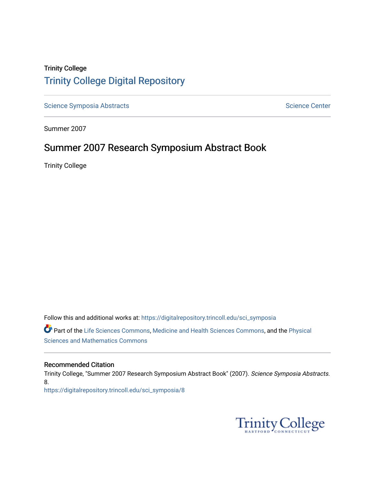# Trinity College [Trinity College Digital Repository](https://digitalrepository.trincoll.edu/)

[Science Symposia Abstracts](https://digitalrepository.trincoll.edu/sci_symposia) **Science Center** Science Center

Summer 2007

# Summer 2007 Research Symposium Abstract Book

Trinity College

Follow this and additional works at: [https://digitalrepository.trincoll.edu/sci\\_symposia](https://digitalrepository.trincoll.edu/sci_symposia?utm_source=digitalrepository.trincoll.edu%2Fsci_symposia%2F8&utm_medium=PDF&utm_campaign=PDFCoverPages)  Part of the [Life Sciences Commons,](http://network.bepress.com/hgg/discipline/1016?utm_source=digitalrepository.trincoll.edu%2Fsci_symposia%2F8&utm_medium=PDF&utm_campaign=PDFCoverPages) [Medicine and Health Sciences Commons,](http://network.bepress.com/hgg/discipline/648?utm_source=digitalrepository.trincoll.edu%2Fsci_symposia%2F8&utm_medium=PDF&utm_campaign=PDFCoverPages) and the [Physical](http://network.bepress.com/hgg/discipline/114?utm_source=digitalrepository.trincoll.edu%2Fsci_symposia%2F8&utm_medium=PDF&utm_campaign=PDFCoverPages)  [Sciences and Mathematics Commons](http://network.bepress.com/hgg/discipline/114?utm_source=digitalrepository.trincoll.edu%2Fsci_symposia%2F8&utm_medium=PDF&utm_campaign=PDFCoverPages) 

#### Recommended Citation

Trinity College, "Summer 2007 Research Symposium Abstract Book" (2007). Science Symposia Abstracts. 8. [https://digitalrepository.trincoll.edu/sci\\_symposia/8](https://digitalrepository.trincoll.edu/sci_symposia/8?utm_source=digitalrepository.trincoll.edu%2Fsci_symposia%2F8&utm_medium=PDF&utm_campaign=PDFCoverPages) 

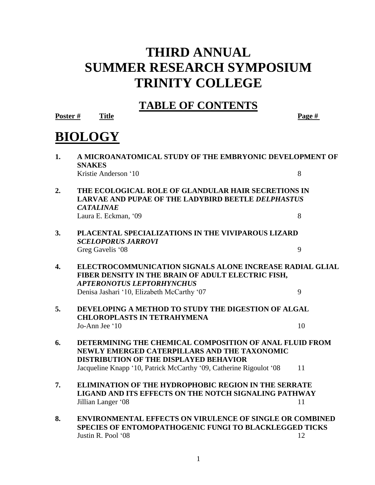# **THIRD ANNUAL SUMMER RESEARCH SYMPOSIUM TRINITY COLLEGE**

# **TABLE OF CONTENTS**

**Poster # Title Page #**

# **BIOLOGY**

| 1.               | A MICROANATOMICAL STUDY OF THE EMBRYONIC DEVELOPMENT OF<br><b>SNAKES</b>                                                                                 |    |  |
|------------------|----------------------------------------------------------------------------------------------------------------------------------------------------------|----|--|
|                  | Kristie Anderson '10                                                                                                                                     | 8  |  |
| 2.               | THE ECOLOGICAL ROLE OF GLANDULAR HAIR SECRETIONS IN<br>LARVAE AND PUPAE OF THE LADYBIRD BEETLE DELPHASTUS<br><b>CATALINAE</b>                            |    |  |
|                  | Laura E. Eckman, '09                                                                                                                                     | 8  |  |
| 3.               | PLACENTAL SPECIALIZATIONS IN THE VIVIPAROUS LIZARD<br><b>SCELOPORUS JARROVI</b>                                                                          |    |  |
|                  | Greg Gavelis '08                                                                                                                                         | 9  |  |
| $\overline{4}$ . | ELECTROCOMMUNICATION SIGNALS ALONE INCREASE RADIAL GLIAL<br>FIBER DENSITY IN THE BRAIN OF ADULT ELECTRIC FISH,<br><b>APTERONOTUS LEPTORHYNCHUS</b>       |    |  |
|                  | Denisa Jashari '10, Elizabeth McCarthy '07                                                                                                               | 9  |  |
| 5.               | DEVELOPING A METHOD TO STUDY THE DIGESTION OF ALGAL<br><b>CHLOROPLASTS IN TETRAHYMENA</b>                                                                |    |  |
|                  | Jo-Ann Jee '10                                                                                                                                           | 10 |  |
| 6.               | DETERMINING THE CHEMICAL COMPOSITION OF ANAL FLUID FROM<br>NEWLY EMERGED CATERPILLARS AND THE TAXONOMIC<br><b>DISTRIBUTION OF THE DISPLAYED BEHAVIOR</b> |    |  |
|                  | Jacqueline Knapp '10, Patrick McCarthy '09, Catherine Rigoulot '08                                                                                       | 11 |  |
| 7.               | <b>ELIMINATION OF THE HYDROPHOBIC REGION IN THE SERRATE</b><br><b>LIGAND AND ITS EFFECTS ON THE NOTCH SIGNALING PATHWAY</b>                              |    |  |
|                  | Jillian Langer '08                                                                                                                                       | 11 |  |
| 8.               | <b>ENVIRONMENTAL EFFECTS ON VIRULENCE OF SINGLE OR COMBINED</b><br>SPECIES OF ENTOMOPATHOGENIC FUNGI TO BLACKLEGGED TICKS                                |    |  |

**Justin R. Pool '08** 12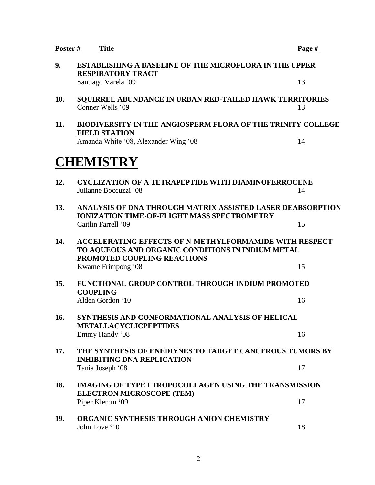| Poster # | <b>Title</b>                                                                                                                                      | Page # |  |  |  |
|----------|---------------------------------------------------------------------------------------------------------------------------------------------------|--------|--|--|--|
| 9.       | <b>ESTABLISHING A BASELINE OF THE MICROFLORA IN THE UPPER</b><br><b>RESPIRATORY TRACT</b>                                                         |        |  |  |  |
|          | Santiago Varela '09                                                                                                                               | 13     |  |  |  |
| 10.      | SQUIRREL ABUNDANCE IN URBAN RED-TAILED HAWK TERRITORIES<br>Conner Wells '09                                                                       | 13     |  |  |  |
| 11.      | <b>BIODIVERSITY IN THE ANGIOSPERM FLORA OF THE TRINITY COLLEGE</b><br><b>FIELD STATION</b>                                                        |        |  |  |  |
|          | Amanda White '08, Alexander Wing '08                                                                                                              | 14     |  |  |  |
|          | <b>CHEMISTRY</b>                                                                                                                                  |        |  |  |  |
| 12.      | <b>CYCLIZATION OF A TETRAPEPTIDE WITH DIAMINOFERROCENE</b><br>Julianne Boccuzzi '08                                                               | 14     |  |  |  |
| 13.      | ANALYSIS OF DNA THROUGH MATRIX ASSISTED LASER DEABSORPTION<br><b>IONIZATION TIME-OF-FLIGHT MASS SPECTROMETRY</b>                                  |        |  |  |  |
|          | Caitlin Farrell '09                                                                                                                               | 15     |  |  |  |
| 14.      | <b>ACCELERATING EFFECTS OF N-METHYLFORMAMIDE WITH RESPECT</b><br>TO AQUEOUS AND ORGANIC CONDITIONS IN INDIUM METAL<br>PROMOTED COUPLING REACTIONS |        |  |  |  |
|          | Kwame Frimpong '08                                                                                                                                | 15     |  |  |  |
| 15.      | <b>FUNCTIONAL GROUP CONTROL THROUGH INDIUM PROMOTED</b><br><b>COUPLING</b>                                                                        |        |  |  |  |
|          | Alden Gordon '10                                                                                                                                  | 16     |  |  |  |
| 16.      | SYNTHESIS AND CONFORMATIONAL ANALYSIS OF HELICAL<br><b>METALLACYCLICPEPTIDES</b>                                                                  |        |  |  |  |
|          | Emmy Handy '08                                                                                                                                    | 16     |  |  |  |
| 17.      | THE SYNTHESIS OF ENEDIYNES TO TARGET CANCEROUS TUMORS BY<br><b>INHIBITING DNA REPLICATION</b>                                                     |        |  |  |  |
|          | Tania Joseph '08                                                                                                                                  | 17     |  |  |  |
| 18.      | <b>IMAGING OF TYPE I TROPOCOLLAGEN USING THE TRANSMISSION</b><br><b>ELECTRON MICROSCOPE (TEM)</b>                                                 |        |  |  |  |
|          | Piper Klemm '09                                                                                                                                   | 17     |  |  |  |
| 19.      | ORGANIC SYNTHESIS THROUGH ANION CHEMISTRY<br>John Love '10                                                                                        | 18     |  |  |  |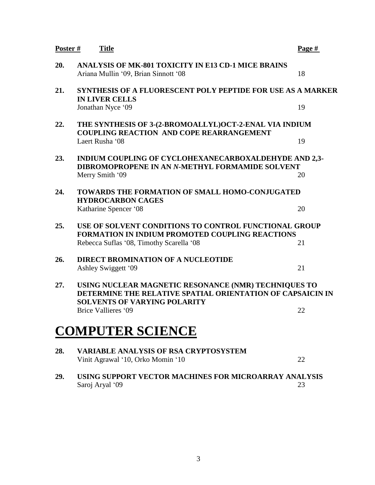| Poster# | <b>Title</b>                                                                                                                                              | Page # |  |
|---------|-----------------------------------------------------------------------------------------------------------------------------------------------------------|--------|--|
| 20.     | ANALYSIS OF MK-801 TOXICITY IN E13 CD-1 MICE BRAINS<br>Ariana Mullin '09, Brian Sinnott '08                                                               | 18     |  |
| 21.     | <b>SYNTHESIS OF A FLUORESCENT POLY PEPTIDE FOR USE AS A MARKER</b>                                                                                        |        |  |
|         | <b>IN LIVER CELLS</b><br>Jonathan Nyce '09                                                                                                                | 19     |  |
| 22.     | THE SYNTHESIS OF 3-(2-BROMOALLYL)OCT-2-ENAL VIA INDIUM<br><b>COUPLING REACTION AND COPE REARRANGEMENT</b>                                                 |        |  |
|         | Laert Rusha '08                                                                                                                                           | 19     |  |
| 23.     | INDIUM COUPLING OF CYCLOHEXANECARBOXALDEHYDE AND 2,3-<br>DIBROMOPROPENE IN AN N-METHYL FORMAMIDE SOLVENT                                                  |        |  |
|         | Merry Smith '09                                                                                                                                           | 20     |  |
| 24.     | <b>TOWARDS THE FORMATION OF SMALL HOMO-CONJUGATED</b>                                                                                                     |        |  |
|         | <b>HYDROCARBON CAGES</b><br>Katharine Spencer '08                                                                                                         | 20     |  |
| 25.     | USE OF SOLVENT CONDITIONS TO CONTROL FUNCTIONAL GROUP<br><b>FORMATION IN INDIUM PROMOTED COUPLING REACTIONS</b>                                           |        |  |
|         | Rebecca Suflas '08, Timothy Scarella '08                                                                                                                  | 21     |  |
| 26.     | <b>DIRECT BROMINATION OF A NUCLEOTIDE</b>                                                                                                                 | 21     |  |
|         | Ashley Swiggett '09                                                                                                                                       |        |  |
| 27.     | USING NUCLEAR MAGNETIC RESONANCE (NMR) TECHNIQUES TO<br>DETERMINE THE RELATIVE SPATIAL ORIENTATION OF CAPSAICIN IN<br><b>SOLVENTS OF VARYING POLARITY</b> |        |  |
|         | Brice Vallieres '09                                                                                                                                       | 22     |  |
|         | <b>COMPUTER SCIENCE</b>                                                                                                                                   |        |  |
| 28.     | <b>VARIABLE ANALYSIS OF RSA CRYPTOSYSTEM</b><br>Vinit Agrawal '10, Orko Momin '10                                                                         | 22     |  |
| 29.     | USING SUPPORT VECTOR MACHINES FOR MICROARRAY ANALYSIS<br>Saroj Aryal '09                                                                                  | 23     |  |
|         |                                                                                                                                                           |        |  |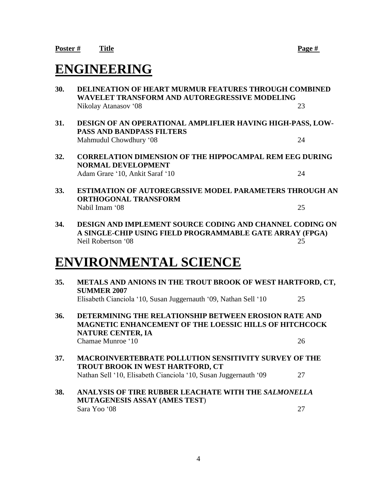# **ENGINEERING**

- **30. DELINEATION OF HEART MURMUR FEATURES THROUGH COMBINED WAVELET TRANSFORM AND AUTOREGRESSIVE MODELING** Nikolay Atanasov '08 23 **31. DESIGN OF AN OPERATIONAL AMPLIFLIER HAVING HIGH-PASS, LOW-PASS AND BANDPASS FILTERS** Mahmudul Chowdhury '08 24
- **32. CORRELATION DIMENSION OF THE HIPPOCAMPAL REM EEG DURING NORMAL DEVELOPMENT** Adam Grare '10, Ankit Saraf '10 24
- **33. ESTIMATION OF AUTOREGRSSIVE MODEL PARAMETERS THROUGH AN ORTHOGONAL TRANSFORM** Nabil Imam '08 25
- **34. DESIGN AND IMPLEMENT SOURCE CODING AND CHANNEL CODING ON A SINGLE-CHIP USING FIELD PROGRAMMABLE GATE ARRAY (FPGA)** Neil Robertson '08 25

# **ENVIRONMENTAL SCIENCE**

**35. METALS AND ANIONS IN THE TROUT BROOK OF WEST HARTFORD, CT, SUMMER 2007** Elisabeth Cianciola '10, Susan Juggernauth '09, Nathan Sell '10 25 **36. DETERMINING THE RELATIONSHIP BETWEEN EROSION RATE AND MAGNETIC ENHANCEMENT OF THE LOESSIC HILLS OF HITCHCOCK NATURE CENTER, IA** Chamae Munroe '10 26 **37. MACROINVERTEBRATE POLLUTION SENSITIVITY SURVEY OF THE TROUT BROOK IN WEST HARTFORD, CT** Nathan Sell '10, Elisabeth Cianciola '10, Susan Juggernauth '09 27 **38. ANALYSIS OF TIRE RUBBER LEACHATE WITH THE** *SALMONELLA* **MUTAGENESIS ASSAY (AMES TEST**)  $Sara Yoo '08$  27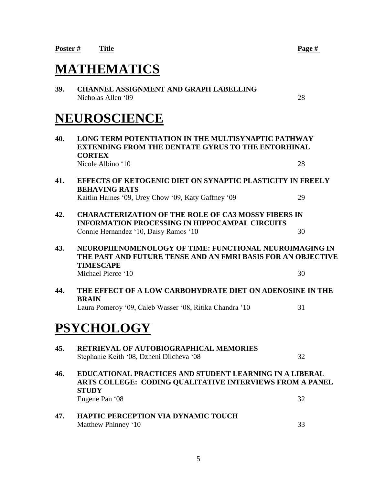# **MATHEMATICS**

**39. CHANNEL ASSIGNMENT AND GRAPH LABELLING** Nicholas Allen '09 28

# **NEUROSCIENCE**

**40. LONG TERM POTENTIATION IN THE MULTISYNAPTIC PATHWAY EXTENDING FROM THE DENTATE GYRUS TO THE ENTORHINAL CORTEX** Nicole Albino '10 28 **41. EFFECTS OF KETOGENIC DIET ON SYNAPTIC PLASTICITY IN FREELY BEHAVING RATS** Kaitlin Haines '09, Urey Chow '09, Katy Gaffney '09 29 **42. CHARACTERIZATION OF THE ROLE OF CA3 MOSSY FIBERS IN INFORMATION PROCESSING IN HIPPOCAMPAL CIRCUITS** Connie Hernandez '10, Daisy Ramos '10 30 **43. NEUROPHENOMENOLOGY OF TIME: FUNCTIONAL NEUROIMAGING IN THE PAST AND FUTURE TENSE AND AN FMRI BASIS FOR AN OBJECTIVE TIMESCAPE** Michael Pierce '10 30 **44. THE EFFECT OF A LOW CARBOHYDRATE DIET ON ADENOSINE IN THE BRAIN** Laura Pomeroy '09, Caleb Wasser '08, Ritika Chandra '10 31 **PSYCHOLOGY 45. RETRIEVAL OF AUTOBIOGRAPHICAL MEMORIES** Stephanie Keith '08, Dzheni Dilcheva '08 32 **46. EDUCATIONAL PRACTICES AND STUDENT LEARNING IN A LIBERAL ARTS COLLEGE: CODING QUALITATIVE INTERVIEWS FROM A PANEL STUDY** Eugene Pan '08 32 **47. HAPTIC PERCEPTION VIA DYNAMIC TOUCH** Matthew Phinney '10 33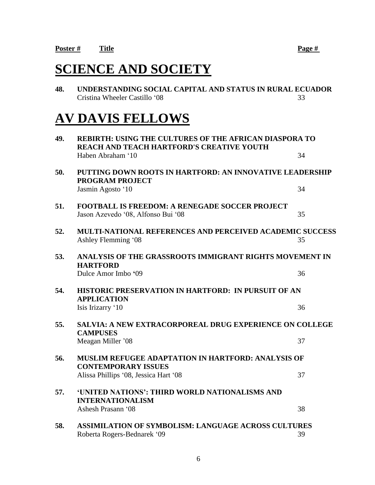# **SCIENCE AND SOCIETY**

**48. UNDERSTANDING SOCIAL CAPITAL AND STATUS IN RURAL ECUADOR** Cristina Wheeler Castillo '08 33

# **AV DAVIS FELLOWS**

| 49. | <b>REBIRTH: USING THE CULTURES OF THE AFRICAN DIASPORA TO</b><br><b>REACH AND TEACH HARTFORD'S CREATIVE YOUTH</b> |    |
|-----|-------------------------------------------------------------------------------------------------------------------|----|
|     | Haben Abraham '10                                                                                                 | 34 |
| 50. | PUTTING DOWN ROOTS IN HARTFORD: AN INNOVATIVE LEADERSHIP<br><b>PROGRAM PROJECT</b>                                |    |
|     | Jasmin Agosto '10                                                                                                 | 34 |
| 51. | <b>FOOTBALL IS FREEDOM: A RENEGADE SOCCER PROJECT</b><br>Jason Azevedo '08, Alfonso Bui '08                       | 35 |
| 52. | <b>MULTI-NATIONAL REFERENCES AND PERCEIVED ACADEMIC SUCCESS</b><br>Ashley Flemming '08                            | 35 |
| 53. | ANALYSIS OF THE GRASSROOTS IMMIGRANT RIGHTS MOVEMENT IN<br><b>HARTFORD</b>                                        |    |
|     | Dulce Amor Imbo '09                                                                                               | 36 |
| 54. | HISTORIC PRESERVATION IN HARTFORD: IN PURSUIT OF AN<br><b>APPLICATION</b>                                         |    |
|     | Isis Irizarry '10                                                                                                 | 36 |
| 55. | SALVIA: A NEW EXTRACORPOREAL DRUG EXPERIENCE ON COLLEGE<br><b>CAMPUSES</b>                                        |    |
|     | Meagan Miller '08                                                                                                 | 37 |
| 56. | <b>MUSLIM REFUGEE ADAPTATION IN HARTFORD: ANALYSIS OF</b><br><b>CONTEMPORARY ISSUES</b>                           |    |
|     | Alissa Phillips '08, Jessica Hart '08                                                                             | 37 |
| 57. | 'UNITED NATIONS': THIRD WORLD NATIONALISMS AND<br><b>INTERNATIONALISM</b>                                         |    |
|     | Ashesh Prasann '08                                                                                                | 38 |
| 58. | <b>ASSIMILATION OF SYMBOLISM: LANGUAGE ACROSS CULTURES</b><br>Roberta Rogers-Bednarek '09                         | 39 |
|     |                                                                                                                   |    |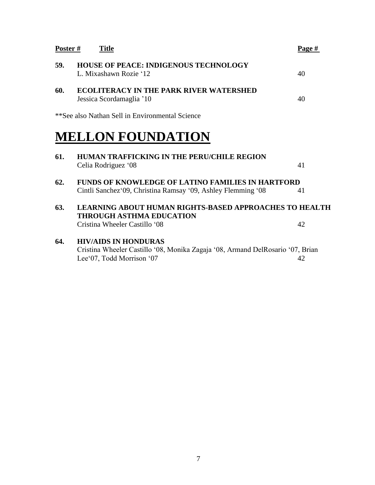| <b>Poster #</b> | <b>Title</b>                                                                                                                               | Page # |
|-----------------|--------------------------------------------------------------------------------------------------------------------------------------------|--------|
| 59.             | <b>HOUSE OF PEACE: INDIGENOUS TECHNOLOGY</b><br>L. Mixashawn Rozie '12                                                                     | 40     |
| 60.             | <b>ECOLITERACY IN THE PARK RIVER WATERSHED</b><br>Jessica Scordamaglia '10                                                                 | 40     |
|                 | **See also Nathan Sell in Environmental Science                                                                                            |        |
|                 | <b>MELLON FOUNDATION</b>                                                                                                                   |        |
| 61.             | <b>HUMAN TRAFFICKING IN THE PERU/CHILE REGION</b><br>Celia Rodriguez '08                                                                   | 41     |
| 62.             | <b>FUNDS OF KNOWLEDGE OF LATINO FAMILIES IN HARTFORD</b><br>Cintli Sanchez 09, Christina Ramsay '09, Ashley Flemming '08                   | 41     |
| 63.             | <b>LEARNING ABOUT HUMAN RIGHTS-BASED APPROACHES TO HEALTH</b><br><b>THROUGH ASTHMA EDUCATION</b>                                           |        |
|                 | Cristina Wheeler Castillo '08                                                                                                              | 42     |
| 64.             | <b>HIV/AIDS IN HONDURAS</b><br>Cristina Wheeler Castillo '08, Monika Zagaja '08, Armand DelRosario '07, Brian<br>Lee'07, Todd Morrison '07 | 42     |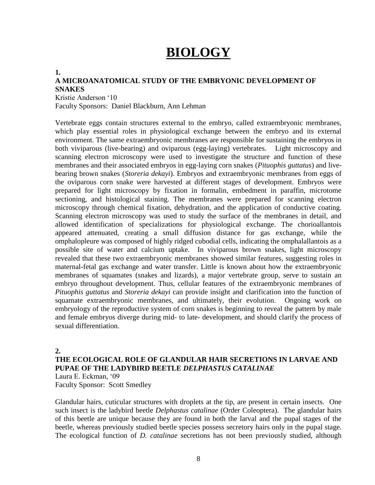# **BIOLOGY**

### **1. A MICROANATOMICAL STUDY OF THE EMBRYONIC DEVELOPMENT OF SNAKES**

Kristie Anderson '10 Faculty Sponsors: Daniel Blackburn, Ann Lehman

Vertebrate eggs contain structures external to the embryo, called extraembryonic membranes, which play essential roles in physiological exchange between the embryo and its external environment. The same extraembryonic membranes are responsible for sustaining the embryos in both viviparous (live-bearing) and oviparous (egg-laying) vertebrates. Light microscopy and scanning electron microscopy were used to investigate the structure and function of these membranes and their associated embryos in egg-laying corn snakes (*Pituophis guttatus*) and livebearing brown snakes (*Storeria dekayi*). Embryos and extraembryonic membranes from eggs of the oviparous corn snake were harvested at different stages of development. Embryos were prepared for light microscopy by fixation in formalin, embedment in paraffin, microtome sectioning, and histological staining. The membranes were prepared for scanning electron microscopy through chemical fixation, dehydration, and the application of conductive coating. Scanning electron microscopy was used to study the surface of the membranes in detail, and allowed identification of specializations for physiological exchange. The chorioallantois appeared attenuated, creating a small diffusion distance for gas exchange, while the omphalopleure was composed of highly ridged cubodial cells, indicating the omphalallantois as a possible site of water and calcium uptake. In viviparous brown snakes, light microscopy revealed that these two extraembryonic membranes showed similar features, suggesting roles in maternal-fetal gas exchange and water transfer. Little is known about how the extraembryonic membranes of squamates (snakes and lizards), a major vertebrate group, serve to sustain an embryo throughout development. Thus, cellular features of the extraembryonic membranes of *Pituophis guttatus* and *Storeria dekayi* can provide insight and clarification into the function of squamate extraembryonic membranes, and ultimately, their evolution. Ongoing work on embryology of the reproductive system of corn snakes is beginning to reveal the pattern by male and female embryos diverge during mid- to late- development, and should clarify the process of sexual differentiation.

#### **2.**

# **THE ECOLOGICAL ROLE OF GLANDULAR HAIR SECRETIONS IN LARVAE AND PUPAE OF THE LADYBIRD BEETLE** *DELPHASTUS CATALINAE*

Laura E. Eckman, '09 Faculty Sponsor: Scott Smedley

Glandular hairs, cuticular structures with droplets at the tip, are present in certain insects. One such insect is the ladybird beetle *Delphastus catalinae* (Order Coleoptera). The glandular hairs of this beetle are unique because they are found in both the larval and the pupal stages of the beetle, whereas previously studied beetle species possess secretory hairs only in the pupal stage. The ecological function of *D. catalinae* secretions has not been previously studied, although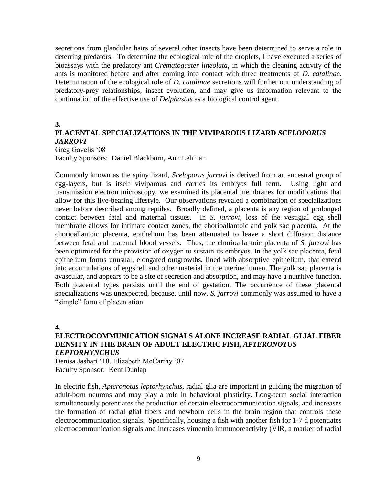secretions from glandular hairs of several other insects have been determined to serve a role in deterring predators. To determine the ecological role of the droplets, I have executed a series of bioassays with the predatory ant *Crematogaster lineolata*, in which the cleaning activity of the ants is monitored before and after coming into contact with three treatments of *D. catalinae*. Determination of the ecological role of *D. catalinae* secretions will further our understanding of predatory-prey relationships, insect evolution, and may give us information relevant to the continuation of the effective use of *Delphastus* as a biological control agent.

#### **3.**

# **PLACENTAL SPECIALIZATIONS IN THE VIVIPAROUS LIZARD** *SCELOPORUS JARROVI*

Greg Gavelis '08 Faculty Sponsors: Daniel Blackburn, Ann Lehman

Commonly known as the spiny lizard, *Sceloporus jarrovi* is derived from an ancestral group of egg-layers, but is itself viviparous and carries its embryos full term. Using light and transmission electron microscopy, we examined its placental membranes for modifications that allow for this live-bearing lifestyle. Our observations revealed a combination of specializations never before described among reptiles. Broadly defined, a placenta is any region of prolonged contact between fetal and maternal tissues. In *S. jarrovi*, loss of the vestigial egg shell membrane allows for intimate contact zones, the chorioallantoic and yolk sac placenta. At the chorioallantoic placenta, epithelium has been attenuated to leave a short diffusion distance between fetal and maternal blood vessels. Thus, the chorioallantoic placenta of *S. jarrovi* has been optimized for the provision of oxygen to sustain its embryos. In the yolk sac placenta, fetal epithelium forms unusual, elongated outgrowths, lined with absorptive epithelium, that extend into accumulations of eggshell and other material in the uterine lumen. The yolk sac placenta is avascular, and appears to be a site of secretion and absorption, and may have a nutritive function. Both placental types persists until the end of gestation. The occurrence of these placental specializations was unexpected, because, until now, *S. jarrovi* commonly was assumed to have a "simple" form of placentation.

#### **4.**

### **ELECTROCOMMUNICATION SIGNALS ALONE INCREASE RADIAL GLIAL FIBER DENSITY IN THE BRAIN OF ADULT ELECTRIC FISH,** *APTERONOTUS LEPTORHYNCHUS*

Denisa Jashari '10, Elizabeth McCarthy '07 Faculty Sponsor: Kent Dunlap

In electric fish, *Apteronotus leptorhynchus*, radial glia are important in guiding the migration of adult-born neurons and may play a role in behavioral plasticity. Long-term social interaction simultaneously potentiates the production of certain electrocommunication signals, and increases the formation of radial glial fibers and newborn cells in the brain region that controls these electrocommunication signals. Specifically, housing a fish with another fish for 1-7 d potentiates electrocommunication signals and increases vimentin immunoreactivity (VIR, a marker of radial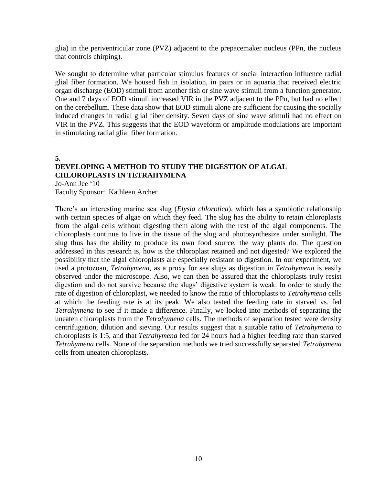glia) in the periventricular zone (PVZ) adjacent to the prepacemaker nucleus (PPn, the nucleus that controls chirping).

We sought to determine what particular stimulus features of social interaction influence radial glial fiber formation. We housed fish in isolation, in pairs or in aquaria that received electric organ discharge (EOD) stimuli from another fish or sine wave stimuli from a function generator. One and 7 days of EOD stimuli increased VIR in the PVZ adjacent to the PPn, but had no effect on the cerebellum. These data show that EOD stimuli alone are sufficient for causing the socially induced changes in radial glial fiber density. Seven days of sine wave stimuli had no effect on VIR in the PVZ. This suggests that the EOD waveform or amplitude modulations are important in stimulating radial glial fiber formation.

**5.**

# **DEVELOPING A METHOD TO STUDY THE DIGESTION OF ALGAL CHLOROPLASTS IN TETRAHYMENA**

Jo-Ann Jee '10 Faculty Sponsor: Kathleen Archer

There's an interesting marine sea slug (*Elysia chlorotica*), which has a symbiotic relationship with certain species of algae on which they feed. The slug has the ability to retain chloroplasts from the algal cells without digesting them along with the rest of the algal components. The chloroplasts continue to live in the tissue of the slug and photosynthesize under sunlight. The slug thus has the ability to produce its own food source, the way plants do. The question addressed in this research is, how is the chloroplast retained and not digested? We explored the possibility that the algal chloroplasts are especially resistant to digestion. In our experiment, we used a protozoan, *Tetrahymena*, as a proxy for sea slugs as digestion in *Tetrahymena* is easily observed under the microscope. Also, we can then be assured that the chloroplasts truly resist digestion and do not survive because the slugs' digestive system is weak. In order to study the rate of digestion of chloroplast, we needed to know the ratio of chloroplasts to *Tetrahymena* cells at which the feeding rate is at its peak. We also tested the feeding rate in starved vs. fed *Tetrahymena* to see if it made a difference. Finally, we looked into methods of separating the uneaten chloroplasts from the *Tetrahymena* cells. The methods of separation tested were density centrifugation, dilution and sieving. Our results suggest that a suitable ratio of *Tetrahymena* to chloroplasts is 1:5, and that *Tetrahymena* fed for 24 hours had a higher feeding rate than starved *Tetrahymena* cells. None of the separation methods we tried successfully separated *Tetrahymena* cells from uneaten chloroplasts.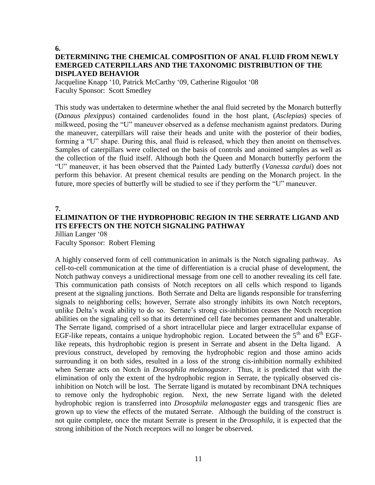**6.**

# **DETERMINING THE CHEMICAL COMPOSITION OF ANAL FLUID FROM NEWLY EMERGED CATERPILLARS AND THE TAXONOMIC DISTRIBUTION OF THE DISPLAYED BEHAVIOR**

Jacqueline Knapp '10, Patrick McCarthy '09, Catherine Rigoulot '08 Faculty Sponsor: Scott Smedley

This study was undertaken to determine whether the anal fluid secreted by the Monarch butterfly (*Danaus plexippus*) contained cardenolides found in the host plant, (*Asclepias*) species of milkweed, posing the "U" maneuver observed as a defense mechanism against predators. During the maneuver, caterpillars will raise their heads and unite with the posterior of their bodies, forming a "U" shape. During this, anal fluid is released, which they then anoint on themselves. Samples of caterpillars were collected on the basis of controls and anointed samples as well as the collection of the fluid itself. Although both the Queen and Monarch butterfly perform the "U" maneuver, it has been observed that the Painted Lady butterfly (*Vanessa cardui*) does not perform this behavior. At present chemical results are pending on the Monarch project. In the future, more species of butterfly will be studied to see if they perform the "U" maneuver.

# **7. ELIMINATION OF THE HYDROPHOBIC REGION IN THE SERRATE LIGAND AND ITS EFFECTS ON THE NOTCH SIGNALING PATHWAY**

Jillian Langer '08

Faculty Sponsor: Robert Fleming

A highly conserved form of cell communication in animals is the Notch signaling pathway. As cell-to-cell communication at the time of differentiation is a crucial phase of development, the Notch pathway conveys a unidirectional message from one cell to another revealing its cell fate. This communication path consists of Notch receptors on all cells which respond to ligands present at the signaling junctions. Both Serrate and Delta are ligands responsible for transferring signals to neighboring cells; however, Serrate also strongly inhibits its own Notch receptors, unlike Delta's weak ability to do so. Serrate's strong cis-inhibition ceases the Notch reception abilities on the signaling cell so that its determined cell fate becomes permanent and unalterable. The Serrate ligand, comprised of a short intracellular piece and larger extracellular expanse of EGF-like repeats, contains a unique hydrophobic region. Located between the  $5<sup>th</sup>$  and  $6<sup>th</sup>$  EGFlike repeats, this hydrophobic region is present in Serrate and absent in the Delta ligand. A previous construct, developed by removing the hydrophobic region and those amino acids surrounding it on both sides, resulted in a loss of the strong cis-inhibition normally exhibited when Serrate acts on Notch in *Drosophila melanogaster*. Thus, it is predicted that with the elimination of only the extent of the hydrophobic region in Serrate, the typically observed cisinhibition on Notch will be lost. The Serrate ligand is mutated by recombinant DNA techniques to remove only the hydrophobic region. Next, the new Serrate ligand with the deleted hydrophobic region is transferred into *Drosophila melanogaster* eggs and transgenic flies are grown up to view the effects of the mutated Serrate. Although the building of the construct is not quite complete, once the mutant Serrate is present in the *Drosophila*, it is expected that the strong inhibition of the Notch receptors will no longer be observed.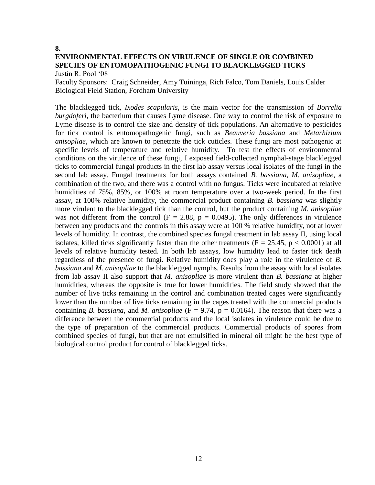#### **8.**

## **ENVIRONMENTAL EFFECTS ON VIRULENCE OF SINGLE OR COMBINED SPECIES OF ENTOMOPATHOGENIC FUNGI TO BLACKLEGGED TICKS** Justin R. Pool '08

Faculty Sponsors: Craig Schneider, Amy Tuininga, Rich Falco, Tom Daniels, Louis Calder Biological Field Station, Fordham University

The blacklegged tick, *Ixodes scapularis*, is the main vector for the transmission of *Borrelia burgdoferi*, the bacterium that causes Lyme disease. One way to control the risk of exposure to Lyme disease is to control the size and density of tick populations. An alternative to pesticides for tick control is entomopathogenic fungi, such as *Beauveria bassiana* and *Metarhizium anisopliae*, which are known to penetrate the tick cuticles. These fungi are most pathogenic at specific levels of temperature and relative humidity. To test the effects of environmental conditions on the virulence of these fungi, I exposed field-collected nymphal-stage blacklegged ticks to commercial fungal products in the first lab assay versus local isolates of the fungi in the second lab assay. Fungal treatments for both assays contained *B. bassiana*, *M. anisopliae*, a combination of the two, and there was a control with no fungus. Ticks were incubated at relative humidities of 75%, 85%, or 100% at room temperature over a two-week period. In the first assay, at 100% relative humidity, the commercial product containing *B. bassiana* was slightly more virulent to the blacklegged tick than the control, but the product containing *M. anisopliae* was not different from the control ( $F = 2.88$ ,  $p = 0.0495$ ). The only differences in virulence between any products and the controls in this assay were at 100 % relative humidity, not at lower levels of humidity. In contrast, the combined species fungal treatment in lab assay II, using local isolates, killed ticks significantly faster than the other treatments ( $F = 25.45$ ,  $p < 0.0001$ ) at all levels of relative humidity tested. In both lab assays, low humidity lead to faster tick death regardless of the presence of fungi. Relative humidity does play a role in the virulence of *B. bassiana* and *M. anisopliae* to the blacklegged nymphs. Results from the assay with local isolates from lab assay II also support that *M. anisopliae* is more virulent than *B. bassiana* at higher humidities, whereas the opposite is true for lower humidities. The field study showed that the number of live ticks remaining in the control and combination treated cages were significantly lower than the number of live ticks remaining in the cages treated with the commercial products containing *B. bassiana*, and *M. anisopliae* ( $F = 9.74$ ,  $p = 0.0164$ ). The reason that there was a difference between the commercial products and the local isolates in virulence could be due to the type of preparation of the commercial products. Commercial products of spores from combined species of fungi, but that are not emulsified in mineral oil might be the best type of biological control product for control of blacklegged ticks.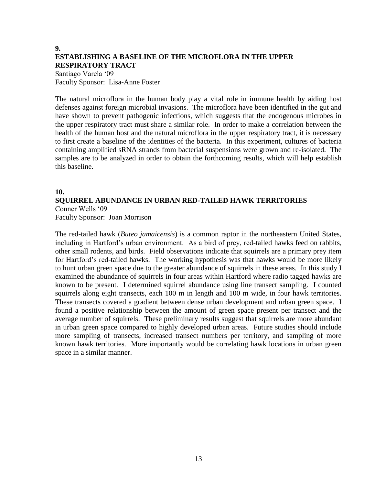# **9. ESTABLISHING A BASELINE OF THE MICROFLORA IN THE UPPER RESPIRATORY TRACT**

Santiago Varela '09 Faculty Sponsor: Lisa-Anne Foster

The natural microflora in the human body play a vital role in immune health by aiding host defenses against foreign microbial invasions. The microflora have been identified in the gut and have shown to prevent pathogenic infections, which suggests that the endogenous microbes in the upper respiratory tract must share a similar role. In order to make a correlation between the health of the human host and the natural microflora in the upper respiratory tract, it is necessary to first create a baseline of the identities of the bacteria. In this experiment, cultures of bacteria containing amplified sRNA strands from bacterial suspensions were grown and re-isolated. The samples are to be analyzed in order to obtain the forthcoming results, which will help establish this baseline.

## **10.**

## **SQUIRREL ABUNDANCE IN URBAN RED-TAILED HAWK TERRITORIES** Conner Wells '09 Faculty Sponsor: Joan Morrison

The red-tailed hawk (*Buteo jamaicensis*) is a common raptor in the northeastern United States, including in Hartford's urban environment. As a bird of prey, red-tailed hawks feed on rabbits, other small rodents, and birds. Field observations indicate that squirrels are a primary prey item for Hartford's red-tailed hawks. The working hypothesis was that hawks would be more likely to hunt urban green space due to the greater abundance of squirrels in these areas. In this study I examined the abundance of squirrels in four areas within Hartford where radio tagged hawks are known to be present. I determined squirrel abundance using line transect sampling. I counted squirrels along eight transects, each 100 m in length and 100 m wide, in four hawk territories. These transects covered a gradient between dense urban development and urban green space. I found a positive relationship between the amount of green space present per transect and the average number of squirrels. These preliminary results suggest that squirrels are more abundant in urban green space compared to highly developed urban areas. Future studies should include more sampling of transects, increased transect numbers per territory, and sampling of more known hawk territories. More importantly would be correlating hawk locations in urban green space in a similar manner.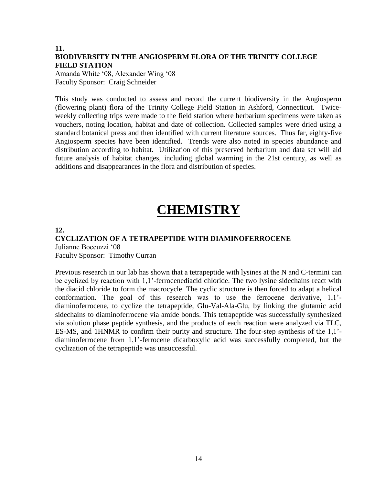# **11. BIODIVERSITY IN THE ANGIOSPERM FLORA OF THE TRINITY COLLEGE FIELD STATION**

Amanda White '08, Alexander Wing '08 Faculty Sponsor: Craig Schneider

This study was conducted to assess and record the current biodiversity in the Angiosperm (flowering plant) flora of the Trinity College Field Station in Ashford, Connecticut. Twiceweekly collecting trips were made to the field station where herbarium specimens were taken as vouchers, noting location, habitat and date of collection. Collected samples were dried using a standard botanical press and then identified with current literature sources. Thus far, eighty-five Angiosperm species have been identified. Trends were also noted in species abundance and distribution according to habitat. Utilization of this preserved herbarium and data set will aid future analysis of habitat changes, including global warming in the 21st century, as well as additions and disappearances in the flora and distribution of species.

# **CHEMISTRY**

## **12.**

### **CYCLIZATION OF A TETRAPEPTIDE WITH DIAMINOFERROCENE** Julianne Boccuzzi '08

Faculty Sponsor: Timothy Curran

Previous research in our lab has shown that a tetrapeptide with lysines at the N and C-termini can be cyclized by reaction with 1,1'-ferrocenediacid chloride. The two lysine sidechains react with the diacid chloride to form the macrocycle. The cyclic structure is then forced to adapt a helical conformation. The goal of this research was to use the ferrocene derivative, 1,1' diaminoferrocene, to cyclize the tetrapeptide, Glu-Val-Ala-Glu, by linking the glutamic acid sidechains to diaminoferrocene via amide bonds. This tetrapeptide was successfully synthesized via solution phase peptide synthesis, and the products of each reaction were analyzed via TLC, ES-MS, and 1HNMR to confirm their purity and structure. The four-step synthesis of the 1,1' diaminoferrocene from 1,1'-ferrocene dicarboxylic acid was successfully completed, but the cyclization of the tetrapeptide was unsuccessful.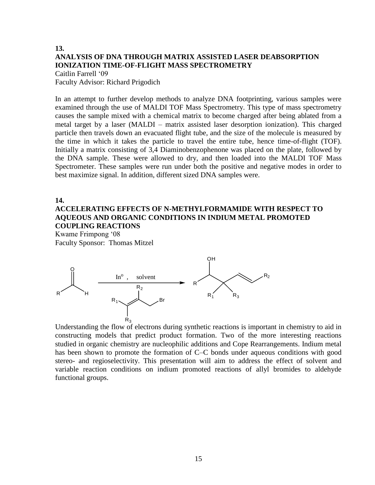## **13. ANALYSIS OF DNA THROUGH MATRIX ASSISTED LASER DEABSORPTION IONIZATION TIME-OF-FLIGHT MASS SPECTROMETRY**  Caitlin Farrell '09

Faculty Advisor: Richard Prigodich

In an attempt to further develop methods to analyze DNA footprinting, various samples were examined through the use of MALDI TOF Mass Spectrometry. This type of mass spectrometry causes the sample mixed with a chemical matrix to become charged after being ablated from a metal target by a laser (MALDI – matrix assisted laser desorption ionization). This charged particle then travels down an evacuated flight tube, and the size of the molecule is measured by the time in which it takes the particle to travel the entire tube, hence time-of-flight (TOF). Initially a matrix consisting of 3,4 Diaminobenzophenone was placed on the plate, followed by the DNA sample. These were allowed to dry, and then loaded into the MALDI TOF Mass Spectrometer. These samples were run under both the positive and negative modes in order to best maximize signal. In addition, different sized DNA samples were.

## **14.**

# **ACCELERATING EFFECTS OF N-METHYLFORMAMIDE WITH RESPECT TO AQUEOUS AND ORGANIC CONDITIONS IN INDIUM METAL PROMOTED COUPLING REACTIONS**

Kwame Frimpong '08 Faculty Sponsor: Thomas Mitzel



Understanding the flow of electrons during synthetic reactions is important in chemistry to aid in constructing models that predict product formation. Two of the more interesting reactions studied in organic chemistry are nucleophilic additions and Cope Rearrangements. Indium metal has been shown to promote the formation of C–C bonds under aqueous conditions with good stereo- and regioselectivity. This presentation will aim to address the effect of solvent and variable reaction conditions on indium promoted reactions of allyl bromides to aldehyde functional groups.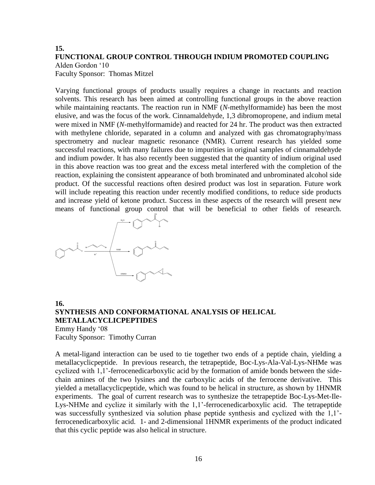## **15. FUNCTIONAL GROUP CONTROL THROUGH INDIUM PROMOTED COUPLING** Alden Gordon '10 Faculty Sponsor: Thomas Mitzel

Varying functional groups of products usually requires a change in reactants and reaction solvents. This research has been aimed at controlling functional groups in the above reaction while maintaining reactants. The reaction run in NMF (*N*-methylformamide) has been the most elusive, and was the focus of the work. Cinnamaldehyde, 1,3 dibromopropene, and indium metal were mixed in NMF (*N*-methylformamide) and reacted for 24 hr. The product was then extracted with methylene chloride, separated in a column and analyzed with gas chromatography/mass spectrometry and nuclear magnetic resonance (NMR). Current research has yielded some successful reactions, with many failures due to impurities in original samples of cinnamaldehyde and indium powder. It has also recently been suggested that the quantity of indium original used in this above reaction was too great and the excess metal interfered with the completion of the reaction, explaining the consistent appearance of both brominated and unbrominated alcohol side product. Of the successful reactions often desired product was lost in separation. Future work will include repeating this reaction under recently modified conditions, to reduce side products and increase yield of ketone product. Success in these aspects of the research will present new means of functional group control that will be beneficial to other fields of research.



**16. SYNTHESIS AND CONFORMATIONAL ANALYSIS OF HELICAL METALLACYCLICPEPTIDES** Emmy Handy '08 Faculty Sponsor: Timothy Curran

A metal-ligand interaction can be used to tie together two ends of a peptide chain, yielding a metallacyclicpeptide. In previous research, the tetrapeptide, Boc-Lys-Ala-Val-Lys-NHMe was cyclized with 1,1'-ferrocenedicarboxylic acid by the formation of amide bonds between the sidechain amines of the two lysines and the carboxylic acids of the ferrocene derivative. This yielded a metallacyclicpeptide, which was found to be helical in structure, as shown by 1HNMR experiments. The goal of current research was to synthesize the tetrapeptide Boc-Lys-Met-Ile-Lys-NHMe and cyclize it similarly with the 1,1'-ferrocenedicarboxylic acid. The tetrapeptide was successfully synthesized via solution phase peptide synthesis and cyclized with the 1,1' ferrocenedicarboxylic acid. 1- and 2-dimensional 1HNMR experiments of the product indicated that this cyclic peptide was also helical in structure.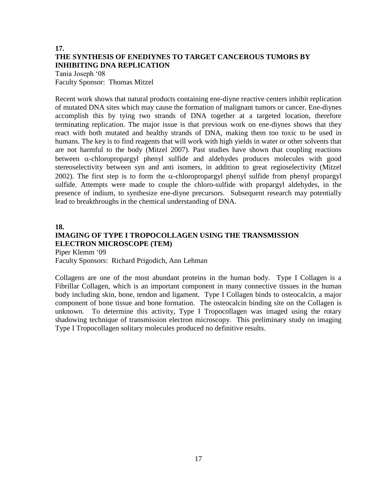# **17. THE SYNTHESIS OF ENEDIYNES TO TARGET CANCEROUS TUMORS BY INHIBITING DNA REPLICATION**

Tania Joseph '08 Faculty Sponsor: Thomas Mitzel

Recent work shows that natural products containing ene-diyne reactive centers inhibit replication of mutated DNA sites which may cause the formation of malignant tumors or cancer. Ene-diynes accomplish this by tying two strands of DNA together at a targeted location, therefore terminating replication. The major issue is that previous work on ene-diynes shows that they react with both mutated and healthy strands of DNA, making them too toxic to be used in humans. The key is to find reagents that will work with high yields in water or other solvents that are not harmful to the body (Mitzel 2007). Past studies have shown that coupling reactions between  $\alpha$ -chloropropargyl phenyl sulfide and aldehydes produces molecules with good stereoselectivity between syn and anti isomers, in addition to great regioselectivity (Mitzel 2002). The first step is to form the  $\alpha$ -chloropropargyl phenyl sulfide from phenyl propargyl sulfide. Attempts were made to couple the chloro-sulfide with propargyl aldehydes, in the presence of indium, to synthesize ene-diyne precursors. Subsequent research may potentially lead to breakthroughs in the chemical understanding of DNA.

#### **18.**

# **IMAGING OF TYPE I TROPOCOLLAGEN USING THE TRANSMISSION ELECTRON MICROSCOPE (TEM)**

Piper Klemm '09

Faculty Sponsors: Richard Prigodich, Ann Lehman

Collagens are one of the most abundant proteins in the human body. Type I Collagen is a Fibrillar Collagen, which is an important component in many connective tissues in the human body including skin, bone, tendon and ligament. Type I Collagen binds to osteocalcin, a major component of bone tissue and bone formation. The osteocalcin binding site on the Collagen is unknown. To determine this activity, Type I Tropocollagen was imaged using the rotary shadowing technique of transmission electron microscopy. This preliminary study on imaging Type I Tropocollagen solitary molecules produced no definitive results.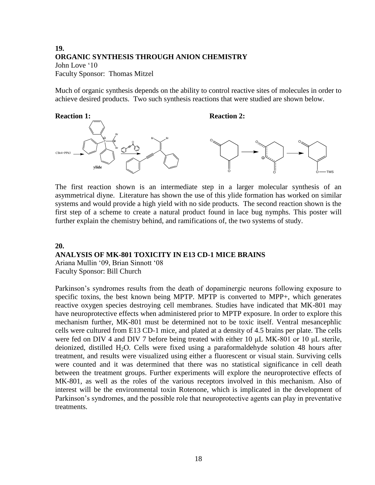# **19. ORGANIC SYNTHESIS THROUGH ANION CHEMISTRY** John Love '10 Faculty Sponsor: Thomas Mitzel

Much of organic synthesis depends on the ability to control reactive sites of molecules in order to achieve desired products. Two such synthesis reactions that were studied are shown below.



The first reaction shown is an intermediate step in a larger molecular synthesis of an asymmetrical diyne. Literature has shown the use of this ylide formation has worked on similar systems and would provide a high yield with no side products. The second reaction shown is the first step of a scheme to create a natural product found in lace bug nymphs. This poster will further explain the chemistry behind, and ramifications of, the two systems of study.

#### **20.**

### **ANALYSIS OF MK-801 TOXICITY IN E13 CD-1 MICE BRAINS**

Ariana Mullin '09, Brian Sinnott '08 Faculty Sponsor: Bill Church

Parkinson's syndromes results from the death of dopaminergic neurons following exposure to specific toxins, the best known being MPTP. MPTP is converted to MPP+, which generates reactive oxygen species destroying cell membranes. Studies have indicated that MK-801 may have neuroprotective effects when administered prior to MPTP exposure. In order to explore this mechanism further, MK-801 must be determined not to be toxic itself. Ventral mesancephlic cells were cultured from E13 CD-1 mice, and plated at a density of 4.5 brains per plate. The cells were fed on DIV 4 and DIV 7 before being treated with either 10 μL MK-801 or 10 μL sterile, deionized, distilled  $H_2O$ . Cells were fixed using a paraformaldehyde solution 48 hours after treatment, and results were visualized using either a fluorescent or visual stain. Surviving cells were counted and it was determined that there was no statistical significance in cell death between the treatment groups. Further experiments will explore the neuroprotective effects of MK-801, as well as the roles of the various receptors involved in this mechanism. Also of interest will be the environmental toxin Rotenone, which is implicated in the development of Parkinson's syndromes, and the possible role that neuroprotective agents can play in preventative treatments.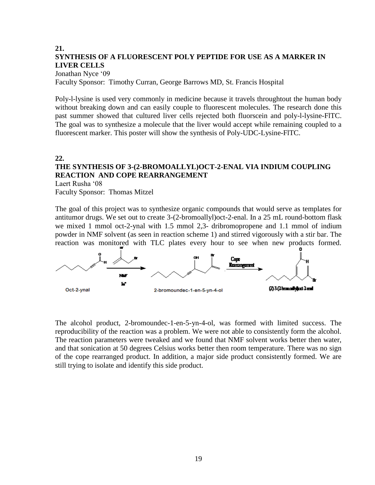# **21. SYNTHESIS OF A FLUORESCENT POLY PEPTIDE FOR USE AS A MARKER IN LIVER CELLS**

Jonathan Nyce '09 Faculty Sponsor: Timothy Curran, George Barrows MD, St. Francis Hospital

Poly-l-lysine is used very commonly in medicine because it travels throughtout the human body without breaking down and can easily couple to fluorescent molecules. The research done this past summer showed that cultured liver cells rejected both fluorscein and poly-l-lysine-FlTC. The goal was to synthesize a molecule that the liver would accept while remaining coupled to a fluorescent marker. This poster will show the synthesis of Poly-UDC-Lysine-FlTC.

# **22. THE SYNTHESIS OF 3-(2-BROMOALLYL)OCT-2-ENAL VIA INDIUM COUPLING REACTION AND COPE REARRANGEMENT**

Laert Rusha '08 Faculty Sponsor: Thomas Mitzel

The goal of this project was to synthesize organic compounds that would serve as templates for antitumor drugs. We set out to create 3-(2-bromoallyl)oct-2-enal. In a 25 mL round-bottom flask we mixed 1 mmol oct-2-ynal with 1.5 mmol 2,3- dribromopropene and 1.1 mmol of indium powder in NMF solvent (as seen in reaction scheme 1) and stirred vigorously with a stir bar. The reaction was monitored with TLC plates every hour to see when new products formed.



The alcohol product, 2-bromoundec-1-en-5-yn-4-ol, was formed with limited success. The reproducibility of the reaction was a problem. We were not able to consistently form the alcohol. The reaction parameters were tweaked and we found that NMF solvent works better then water, and that sonication at 50 degrees Celsius works better then room temperature. There was no sign of the cope rearranged product. In addition, a major side product consistently formed. We are still trying to isolate and identify this side product.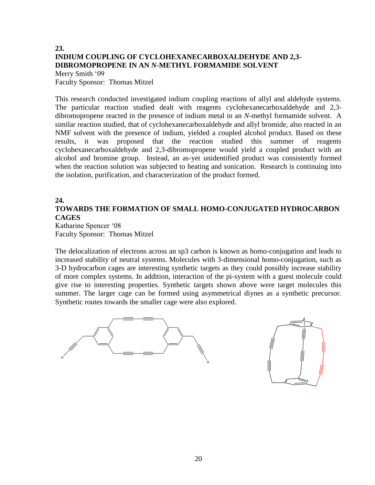# **23. INDIUM COUPLING OF CYCLOHEXANECARBOXALDEHYDE AND 2,3- DIBROMOPROPENE IN AN** *N***-METHYL FORMAMIDE SOLVENT**

Merry Smith '09 Faculty Sponsor: Thomas Mitzel

This research conducted investigated indium coupling reactions of allyl and aldehyde systems. The particular reaction studied dealt with reagents cyclohexanecarboxaldehyde and 2,3 dibromopropene reacted in the presence of indium metal in an *N*-methyl formamide solvent. A similar reaction studied, that of cyclohexanecarboxaldehyde and allyl bromide, also reacted in an NMF solvent with the presence of indium, yielded a coupled alcohol product. Based on these results, it was proposed that the reaction studied this summer of reagents cyclohexanecarboxaldehyde and 2,3-dibromopropene would yield a coupled product with an alcohol and bromine group. Instead, an as-yet unidentified product was consistently formed when the reaction solution was subjected to heating and sonication. Research is continuing into the isolation, purification, and characterization of the product formed.

# **24.**

# **TOWARDS THE FORMATION OF SMALL HOMO-CONJUGATED HYDROCARBON CAGES**

Katharine Spencer '08 Faculty Sponsor: Thomas Mitzel

The delocalization of electrons across an sp3 carbon is known as homo-conjugation and leads to increased stability of neutral systems. Molecules with 3-dimensional homo-conjugation, such as 3-D hydrocarbon cages are interesting synthetic targets as they could possibly increase stability of more complex systems. In addition, interaction of the pi-system with a guest molecule could give rise to interesting properties. Synthetic targets shown above were target molecules this summer. The larger cage can be formed using asymmetrical diynes as a synthetic precursor. Synthetic routes towards the smaller cage were also explored.

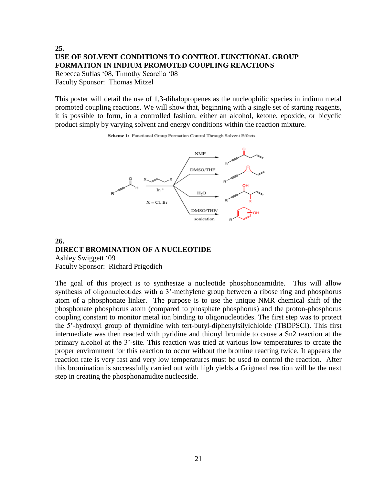# **25. USE OF SOLVENT CONDITIONS TO CONTROL FUNCTIONAL GROUP FORMATION IN INDIUM PROMOTED COUPLING REACTIONS**

Rebecca Suflas '08, Timothy Scarella '08 Faculty Sponsor: Thomas Mitzel

This poster will detail the use of 1,3-dihalopropenes as the nucleophilic species in indium metal promoted coupling reactions. We will show that, beginning with a single set of starting reagents, it is possible to form, in a controlled fashion, either an alcohol, ketone, epoxide, or bicyclic product simply by varying solvent and energy conditions within the reaction mixture.





## **26. DIRECT BROMINATION OF A NUCLEOTIDE**

Ashley Swiggett '09 Faculty Sponsor: Richard Prigodich

The goal of this project is to synthesize a nucleotide phosphonoamidite. This will allow synthesis of oligonucleotides with a 3'-methylene group between a ribose ring and phosphorus atom of a phosphonate linker. The purpose is to use the unique NMR chemical shift of the phosphonate phosphorus atom (compared to phosphate phosphorus) and the proton-phosphorus coupling constant to monitor metal ion binding to oligonucleotides. The first step was to protect the 5'-hydroxyl group of thymidine with tert-butyl-diphenylsilylchloide (TBDPSCl). This first intermediate was then reacted with pyridine and thionyl bromide to cause a Sn2 reaction at the primary alcohol at the 3'-site. This reaction was tried at various low temperatures to create the proper environment for this reaction to occur without the bromine reacting twice. It appears the reaction rate is very fast and very low temperatures must be used to control the reaction. After this bromination is successfully carried out with high yields a Grignard reaction will be the next step in creating the phosphonamidite nucleoside.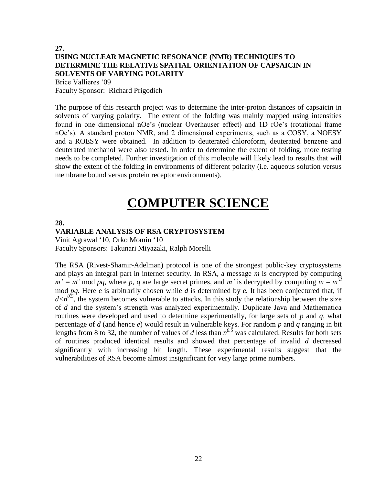# **27. USING NUCLEAR MAGNETIC RESONANCE (NMR) TECHNIQUES TO DETERMINE THE RELATIVE SPATIAL ORIENTATION OF CAPSAICIN IN SOLVENTS OF VARYING POLARITY** Brice Vallieres '09

Faculty Sponsor: Richard Prigodich

The purpose of this research project was to determine the inter-proton distances of capsaicin in solvents of varying polarity. The extent of the folding was mainly mapped using intensities found in one dimensional nOe's (nuclear Overhauser effect) and 1D rOe's (rotational frame nOe's). A standard proton NMR, and 2 dimensional experiments, such as a COSY, a NOESY and a ROESY were obtained. In addition to deuterated chloroform, deuterated benzene and deuterated methanol were also tested. In order to determine the extent of folding, more testing needs to be completed. Further investigation of this molecule will likely lead to results that will show the extent of the folding in environments of different polarity (i.e. aqueous solution versus membrane bound versus protein receptor environments).

# **COMPUTER SCIENCE**

#### **28.**

## **VARIABLE ANALYSIS OF RSA CRYPTOSYSTEM**

Vinit Agrawal '10, Orko Momin '10 Faculty Sponsors: Takunari Miyazaki, Ralph Morelli

The RSA (Rivest-Shamir-Adelman) protocol is one of the strongest public-key cryptosystems and plays an integral part in internet security. In RSA, a message *m* is encrypted by computing  $m' = m^e \mod pq$ , where p, q are large secret primes, and m' is decrypted by computing  $m = m^d$ mod *pq.* Here *e* is arbitrarily chosen while *d* is determined by *e.* It has been conjectured that, if  $d \lt n^{0.5}$ , the system becomes vulnerable to attacks. In this study the relationship between the size of *d* and the system's strength was analyzed experimentally. Duplicate Java and Mathematica routines were developed and used to determine experimentally, for large sets of *p* and *q,* what percentage of *d* (and hence *e*) would result in vulnerable keys. For random *p* and *q* ranging in bit lengths from 8 to 32, the number of values of *d* less than  $n^{0.5}$  was calculated. Results for both sets of routines produced identical results and showed that percentage of invalid *d* decreased significantly with increasing bit length. These experimental results suggest that the vulnerabilities of RSA become almost insignificant for very large prime numbers.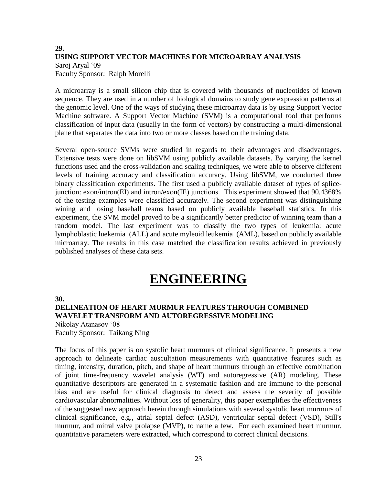# **29. USING SUPPORT VECTOR MACHINES FOR MICROARRAY ANALYSIS** Saroj Aryal '09 Faculty Sponsor: Ralph Morelli

A microarray is a small silicon chip that is covered with thousands of nucleotides of known sequence. They are used in a number of biological domains to study gene expression patterns at the genomic level. One of the ways of studying these microarray data is by using Support Vector Machine software. A Support Vector Machine (SVM) is a computational tool that performs classification of input data (usually in the form of vectors) by constructing a multi-dimensional plane that separates the data into two or more classes based on the training data.

Several open-source SVMs were studied in regards to their advantages and disadvantages. Extensive tests were done on libSVM using publicly available datasets. By varying the kernel functions used and the cross-validation and scaling techniques, we were able to observe different levels of training accuracy and classification accuracy. Using libSVM, we conducted three binary classification experiments. The first used a publicly available dataset of types of splicejunction: exon/intron(EI) and intron/exon(IE) junctions. This experiment showed that 90.4368% of the testing examples were classified accurately. The second experiment was distinguishing wining and losing baseball teams based on publicly available baseball statistics. In this experiment, the SVM model proved to be a significantly better predictor of winning team than a random model. The last experiment was to classify the two types of leukemia: acute lymphoblastic luekemia (ALL) and acute myleoid leukemia (AML), based on publicly available microarray. The results in this case matched the classification results achieved in previously published analyses of these data sets.

# **ENGINEERING**

**30.**

# **DELINEATION OF HEART MURMUR FEATURES THROUGH COMBINED WAVELET TRANSFORM AND AUTOREGRESSIVE MODELING**

Nikolay Atanasov '08 Faculty Sponsor: Taikang Ning

The focus of this paper is on systolic heart murmurs of clinical significance. It presents a new approach to delineate cardiac auscultation measurements with quantitative features such as timing, intensity, duration, pitch, and shape of heart murmurs through an effective combination of joint time-frequency wavelet analysis (WT) and autoregressive (AR) modeling. These quantitative descriptors are generated in a systematic fashion and are immune to the personal bias and are useful for clinical diagnosis to detect and assess the severity of possible cardiovascular abnormalities. Without loss of generality, this paper exemplifies the effectiveness of the suggested new approach herein through simulations with several systolic heart murmurs of clinical significance, e.g., atrial septal defect (ASD), ventricular septal defect (VSD), Still's murmur, and mitral valve prolapse (MVP), to name a few. For each examined heart murmur, quantitative parameters were extracted, which correspond to correct clinical decisions.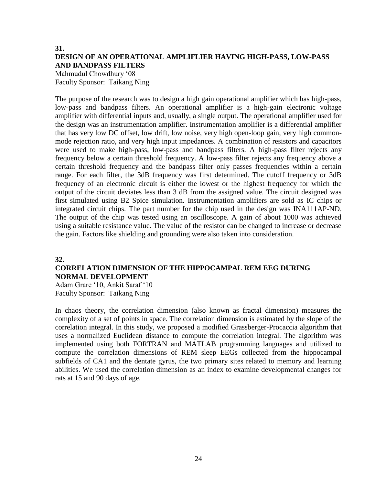# **31. DESIGN OF AN OPERATIONAL AMPLIFLIER HAVING HIGH-PASS, LOW-PASS AND BANDPASS FILTERS**

Mahmudul Chowdhury '08 Faculty Sponsor: Taikang Ning

The purpose of the research was to design a high gain operational amplifier which has high-pass, low-pass and bandpass filters. An operational amplifier is a high-gain electronic voltage amplifier with differential inputs and, usually, a single output. The operational amplifier used for the design was an instrumentation amplifier. Instrumentation amplifier is a differential amplifier that has very low DC offset, low drift, low noise, very high open-loop gain, very high commonmode rejection ratio, and very high input impedances. A combination of resistors and capacitors were used to make high-pass, low-pass and bandpass filters. A high-pass filter rejects any frequency below a certain threshold frequency. A low-pass filter rejects any frequency above a certain threshold frequency and the bandpass filter only passes frequencies within a certain range. For each filter, the 3dB frequency was first determined. The cutoff frequency or 3dB frequency of an electronic circuit is either the lowest or the highest frequency for which the output of the circuit deviates less than 3 dB from the assigned value. The circuit designed was first simulated using B2 Spice simulation. Instrumentation amplifiers are sold as IC chips or integrated circuit chips. The part number for the chip used in the design was INA111AP-ND. The output of the chip was tested using an oscilloscope. A gain of about 1000 was achieved using a suitable resistance value. The value of the resistor can be changed to increase or decrease the gain. Factors like shielding and grounding were also taken into consideration.

#### **32.**

# **CORRELATION DIMENSION OF THE HIPPOCAMPAL REM EEG DURING NORMAL DEVELOPMENT**

Adam Grare '10, Ankit Saraf '10 Faculty Sponsor: Taikang Ning

In chaos theory, the correlation dimension (also known as fractal dimension) measures the complexity of a set of points in space. The correlation dimension is estimated by the slope of the correlation integral. In this study, we proposed a modified Grassberger-Procaccia algorithm that uses a normalized Euclidean distance to compute the correlation integral. The algorithm was implemented using both FORTRAN and MATLAB programming languages and utilized to compute the correlation dimensions of REM sleep EEGs collected from the hippocampal subfields of CA1 and the dentate gyrus, the two primary sites related to memory and learning abilities. We used the correlation dimension as an index to examine developmental changes for rats at 15 and 90 days of age.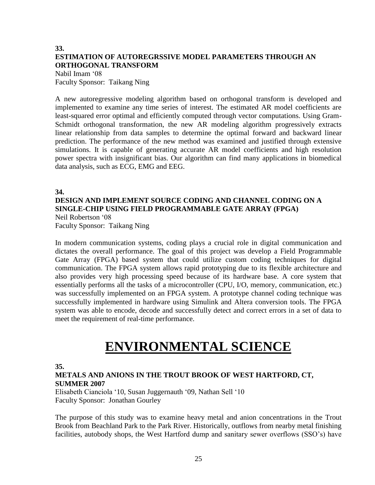# **33. ESTIMATION OF AUTOREGRSSIVE MODEL PARAMETERS THROUGH AN ORTHOGONAL TRANSFORM**

Nabil Imam '08 Faculty Sponsor: Taikang Ning

A new autoregressive modeling algorithm based on orthogonal transform is developed and implemented to examine any time series of interest. The estimated AR model coefficients are least-squared error optimal and efficiently computed through vector computations. Using Gram-Schmidt orthogonal transformation, the new AR modeling algorithm progressively extracts linear relationship from data samples to determine the optimal forward and backward linear prediction. The performance of the new method was examined and justified through extensive simulations. It is capable of generating accurate AR model coefficients and high resolution power spectra with insignificant bias. Our algorithm can find many applications in biomedical data analysis, such as ECG, EMG and EEG.

## **34.**

### **DESIGN AND IMPLEMENT SOURCE CODING AND CHANNEL CODING ON A SINGLE-CHIP USING FIELD PROGRAMMABLE GATE ARRAY (FPGA)** Neil Robertson '08

Faculty Sponsor: Taikang Ning

In modern communication systems, coding plays a crucial role in digital communication and dictates the overall performance. The goal of this project was develop a Field Programmable Gate Array (FPGA) based system that could utilize custom coding techniques for digital communication. The FPGA system allows rapid prototyping due to its flexible architecture and also provides very high processing speed because of its hardware base. A core system that essentially performs all the tasks of a microcontroller (CPU, I/O, memory, communication, etc.) was successfully implemented on an FPGA system. A prototype channel coding technique was successfully implemented in hardware using Simulink and Altera conversion tools. The FPGA system was able to encode, decode and successfully detect and correct errors in a set of data to meet the requirement of real-time performance.

# **ENVIRONMENTAL SCIENCE**

**35.**

## **METALS AND ANIONS IN THE TROUT BROOK OF WEST HARTFORD, CT, SUMMER 2007**

Elisabeth Cianciola '10, Susan Juggernauth '09, Nathan Sell '10 Faculty Sponsor: Jonathan Gourley

The purpose of this study was to examine heavy metal and anion concentrations in the Trout Brook from Beachland Park to the Park River. Historically, outflows from nearby metal finishing facilities, autobody shops, the West Hartford dump and sanitary sewer overflows (SSO's) have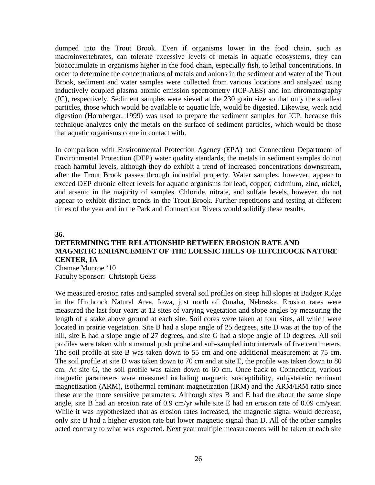dumped into the Trout Brook. Even if organisms lower in the food chain, such as macroinvertebrates, can tolerate excessive levels of metals in aquatic ecosystems, they can bioaccumulate in organisms higher in the food chain, especially fish, to lethal concentrations. In order to determine the concentrations of metals and anions in the sediment and water of the Trout Brook, sediment and water samples were collected from various locations and analyzed using inductively coupled plasma atomic emission spectrometry (ICP-AES) and ion chromatography (IC), respectively. Sediment samples were sieved at the 230 grain size so that only the smallest particles, those which would be available to aquatic life, would be digested. Likewise, weak acid digestion (Hornberger, 1999) was used to prepare the sediment samples for ICP, because this technique analyzes only the metals on the surface of sediment particles, which would be those that aquatic organisms come in contact with.

In comparison with Environmental Protection Agency (EPA) and Connecticut Department of Environmental Protection (DEP) water quality standards, the metals in sediment samples do not reach harmful levels, although they do exhibit a trend of increased concentrations downstream, after the Trout Brook passes through industrial property. Water samples, however, appear to exceed DEP chronic effect levels for aquatic organisms for lead, copper, cadmium, zinc, nickel, and arsenic in the majority of samples. Chloride, nitrate, and sulfate levels, however, do not appear to exhibit distinct trends in the Trout Brook. Further repetitions and testing at different times of the year and in the Park and Connecticut Rivers would solidify these results.

#### **36.**

# **DETERMINING THE RELATIONSHIP BETWEEN EROSION RATE AND MAGNETIC ENHANCEMENT OF THE LOESSIC HILLS OF HITCHCOCK NATURE CENTER, IA**

Chamae Munroe '10 Faculty Sponsor: Christoph Geiss

We measured erosion rates and sampled several soil profiles on steep hill slopes at Badger Ridge in the Hitchcock Natural Area, Iowa, just north of Omaha, Nebraska. Erosion rates were measured the last four years at 12 sites of varying vegetation and slope angles by measuring the length of a stake above ground at each site. Soil cores were taken at four sites, all which were located in prairie vegetation. Site B had a slope angle of 25 degrees, site D was at the top of the hill, site E had a slope angle of 27 degrees, and site G had a slope angle of 10 degrees. All soil profiles were taken with a manual push probe and sub-sampled into intervals of five centimeters. The soil profile at site B was taken down to 55 cm and one additional measurement at 75 cm. The soil profile at site D was taken down to 70 cm and at site E, the profile was taken down to 80 cm. At site G, the soil profile was taken down to 60 cm. Once back to Connecticut, various magnetic parameters were measured including magnetic susceptibility, anhysteretic reminant magnetization (ARM), isothermal reminant magnetization (IRM) and the ARM/IRM ratio since these are the more sensitive parameters. Although sites B and E had the about the same slope angle, site B had an erosion rate of 0.9 cm/yr while site E had an erosion rate of 0.09 cm/year. While it was hypothesized that as erosion rates increased, the magnetic signal would decrease, only site B had a higher erosion rate but lower magnetic signal than D. All of the other samples acted contrary to what was expected. Next year multiple measurements will be taken at each site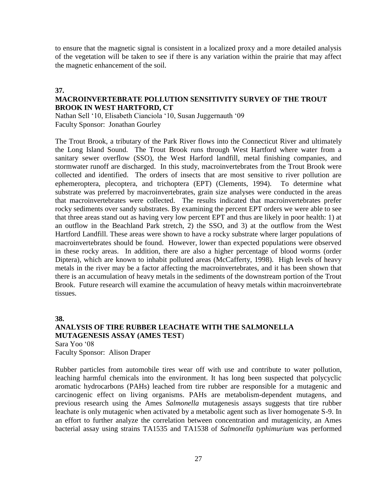to ensure that the magnetic signal is consistent in a localized proxy and a more detailed analysis of the vegetation will be taken to see if there is any variation within the prairie that may affect the magnetic enhancement of the soil.

### **37.**

## **MACROINVERTEBRATE POLLUTION SENSITIVITY SURVEY OF THE TROUT BROOK IN WEST HARTFORD, CT**

Nathan Sell '10, Elisabeth Cianciola '10, Susan Juggernauth '09 Faculty Sponsor: Jonathan Gourley

The Trout Brook, a tributary of the Park River flows into the Connecticut River and ultimately the Long Island Sound. The Trout Brook runs through West Hartford where water from a sanitary sewer overflow (SSO), the West Harford landfill, metal finishing companies, and stormwater runoff are discharged. In this study, macroinvertebrates from the Trout Brook were collected and identified. The orders of insects that are most sensitive to river pollution are ephemeroptera, plecoptera, and trichoptera (EPT) (Clements, 1994). To determine what substrate was preferred by macroinvertebrates, grain size analyses were conducted in the areas that macroinvertebrates were collected. The results indicated that macroinvertebrates prefer rocky sediments over sandy substrates. By examining the percent EPT orders we were able to see that three areas stand out as having very low percent EPT and thus are likely in poor health: 1) at an outflow in the Beachland Park stretch, 2) the SSO, and 3) at the outflow from the West Hartford Landfill. These areas were shown to have a rocky substrate where larger populations of macroinvertebrates should be found. However, lower than expected populations were observed in these rocky areas. In addition, there are also a higher percentage of blood worms (order Diptera), which are known to inhabit polluted areas (McCafferty, 1998). High levels of heavy metals in the river may be a factor affecting the macroinvertebrates, and it has been shown that there is an accumulation of heavy metals in the sediments of the downstream portion of the Trout Brook. Future research will examine the accumulation of heavy metals within macroinvertebrate tissues.

#### **38.**

# **ANALYSIS OF TIRE RUBBER LEACHATE WITH THE SALMONELLA MUTAGENESIS ASSAY (AMES TEST**) Sara Yoo '08

Faculty Sponsor: Alison Draper

Rubber particles from automobile tires wear off with use and contribute to water pollution, leaching harmful chemicals into the environment. It has long been suspected that polycyclic aromatic hydrocarbons (PAHs) leached from tire rubber are responsible for a mutagenic and carcinogenic effect on living organisms. PAHs are metabolism-dependent mutagens, and previous research using the Ames *Salmonella* mutagenesis assays suggests that tire rubber leachate is only mutagenic when activated by a metabolic agent such as liver homogenate S-9. In an effort to further analyze the correlation between concentration and mutagenicity, an Ames bacterial assay using strains TA1535 and TA1538 of *Salmonella typhimurium* was performed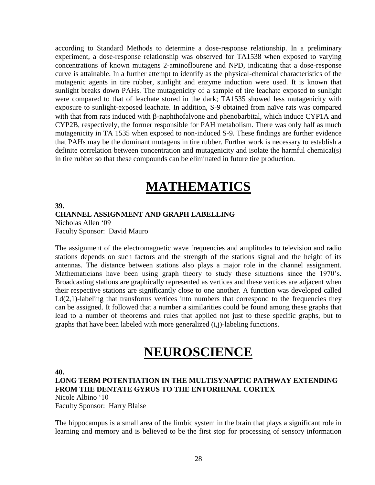according to Standard Methods to determine a dose-response relationship. In a preliminary experiment, a dose-response relationship was observed for TA1538 when exposed to varying concentrations of known mutagens 2-aminoflourene and NPD, indicating that a dose-response curve is attainable. In a further attempt to identify as the physical-chemical characteristics of the mutagenic agents in tire rubber, sunlight and enzyme induction were used. It is known that sunlight breaks down PAHs. The mutagenicity of a sample of tire leachate exposed to sunlight were compared to that of leachate stored in the dark; TA1535 showed less mutagenicity with exposure to sunlight-exposed leachate. In addition, S-9 obtained from naïve rats was compared with that from rats induced with  $\beta$ -naphthofalvone and phenobarbital, which induce CYP1A and CYP2B, respectively, the former responsible for PAH metabolism. There was only half as much mutagenicity in TA 1535 when exposed to non-induced S-9. These findings are further evidence that PAHs may be the dominant mutagens in tire rubber. Further work is necessary to establish a definite correlation between concentration and mutagenicity and isolate the harmful chemical(s) in tire rubber so that these compounds can be eliminated in future tire production.

# **MATHEMATICS**

# **39. CHANNEL ASSIGNMENT AND GRAPH LABELLING**

Nicholas Allen '09 Faculty Sponsor: David Mauro

The assignment of the electromagnetic wave frequencies and amplitudes to television and radio stations depends on such factors and the strength of the stations signal and the height of its antennas. The distance between stations also plays a major role in the channel assignment. Mathematicians have been using graph theory to study these situations since the 1970's. Broadcasting stations are graphically represented as vertices and these vertices are adjacent when their respective stations are significantly close to one another. A function was developed called  $Ld(2,1)$ -labeling that transforms vertices into numbers that correspond to the frequencies they can be assigned. It followed that a number a similarities could be found among these graphs that lead to a number of theorems and rules that applied not just to these specific graphs, but to graphs that have been labeled with more generalized (i,j)-labeling functions.

# **NEUROSCIENCE**

#### **40.**

**LONG TERM POTENTIATION IN THE MULTISYNAPTIC PATHWAY EXTENDING FROM THE DENTATE GYRUS TO THE ENTORHINAL CORTEX**

Nicole Albino '10 Faculty Sponsor: Harry Blaise

The hippocampus is a small area of the limbic system in the brain that plays a significant role in learning and memory and is believed to be the first stop for processing of sensory information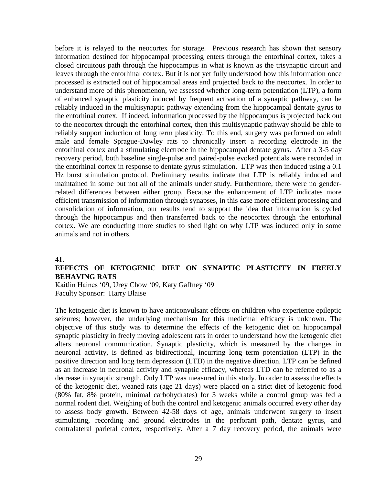before it is relayed to the neocortex for storage. Previous research has shown that sensory information destined for hippocampal processing enters through the entorhinal cortex, takes a closed circuitous path through the hippocampus in what is known as the trisynaptic circuit and leaves through the entorhinal cortex. But it is not yet fully understood how this information once processed is extracted out of hippocampal areas and projected back to the neocortex. In order to understand more of this phenomenon, we assessed whether long-term potentiation (LTP), a form of enhanced synaptic plasticity induced by frequent activation of a synaptic pathway, can be reliably induced in the multisynaptic pathway extending from the hippocampal dentate gyrus to the entorhinal cortex. If indeed, information processed by the hippocampus is projected back out to the neocortex through the entorhinal cortex, then this multisynaptic pathway should be able to reliably support induction of long term plasticity. To this end, surgery was performed on adult male and female Sprague-Dawley rats to chronically insert a recording electrode in the entorhinal cortex and a stimulating electrode in the hippocampal dentate gyrus. After a 3-5 day recovery period, both baseline single-pulse and paired-pulse evoked potentials were recorded in the entorhinal cortex in response to dentate gyrus stimulation. LTP was then induced using a 0.1 Hz burst stimulation protocol. Preliminary results indicate that LTP is reliably induced and maintained in some but not all of the animals under study. Furthermore, there were no genderrelated differences between either group. Because the enhancement of LTP indicates more efficient transmission of information through synapses, in this case more efficient processing and consolidation of information, our results tend to support the idea that information is cycled through the hippocampus and then transferred back to the neocortex through the entorhinal cortex. We are conducting more studies to shed light on why LTP was induced only in some animals and not in others.

#### **41.**

## **EFFECTS OF KETOGENIC DIET ON SYNAPTIC PLASTICITY IN FREELY BEHAVING RATS**

Kaitlin Haines '09, Urey Chow '09, Katy Gaffney '09 Faculty Sponsor: Harry Blaise

The ketogenic diet is known to have anticonvulsant effects on children who experience epileptic seizures; however, the underlying mechanism for this medicinal efficacy is unknown. The objective of this study was to determine the effects of the ketogenic diet on hippocampal synaptic plasticity in freely moving adolescent rats in order to understand how the ketogenic diet alters neuronal communication. Synaptic plasticity, which is measured by the changes in neuronal activity, is defined as bidirectional, incurring long term potentiation (LTP) in the positive direction and long term depression (LTD) in the negative direction. LTP can be defined as an increase in neuronal activity and synaptic efficacy, whereas LTD can be referred to as a decrease in synaptic strength. Only LTP was measured in this study. In order to assess the effects of the ketogenic diet, weaned rats (age 21 days) were placed on a strict diet of ketogenic food (80% fat, 8% protein, minimal carbohydrates) for 3 weeks while a control group was fed a normal rodent diet. Weighing of both the control and ketogenic animals occurred every other day to assess body growth. Between 42-58 days of age, animals underwent surgery to insert stimulating, recording and ground electrodes in the perforant path, dentate gyrus, and contralateral parietal cortex, respectively. After a 7 day recovery period, the animals were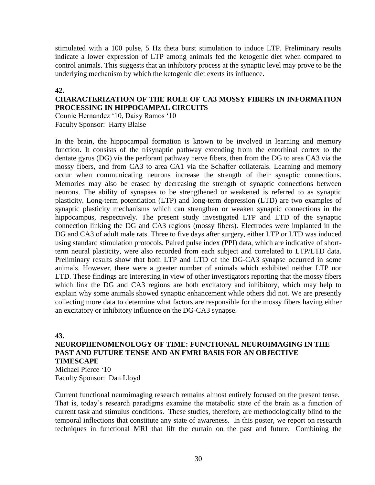stimulated with a 100 pulse, 5 Hz theta burst stimulation to induce LTP. Preliminary results indicate a lower expression of LTP among animals fed the ketogenic diet when compared to control animals. This suggests that an inhibitory process at the synaptic level may prove to be the underlying mechanism by which the ketogenic diet exerts its influence.

### **42.**

# **CHARACTERIZATION OF THE ROLE OF CA3 MOSSY FIBERS IN INFORMATION PROCESSING IN HIPPOCAMPAL CIRCUITS**

Connie Hernandez '10, Daisy Ramos '10 Faculty Sponsor: Harry Blaise

In the brain, the hippocampal formation is known to be involved in learning and memory function. It consists of the trisynaptic pathway extending from the entorhinal cortex to the dentate gyrus (DG) via the perforant pathway nerve fibers, then from the DG to area CA3 via the mossy fibers, and from CA3 to area CA1 via the Schaffer collaterals. Learning and memory occur when communicating neurons increase the strength of their synaptic connections. Memories may also be erased by decreasing the strength of synaptic connections between neurons. The ability of synapses to be strengthened or weakened is referred to as synaptic plasticity. Long-term potentiation (LTP) and long-term depression (LTD) are two examples of synaptic plasticity mechanisms which can strengthen or weaken synaptic connections in the hippocampus, respectively. The present study investigated LTP and LTD of the synaptic connection linking the DG and CA3 regions (mossy fibers). Electrodes were implanted in the DG and CA3 of adult male rats. Three to five days after surgery, either LTP or LTD was induced using standard stimulation protocols. Paired pulse index (PPI) data, which are indicative of shortterm neural plasticity, were also recorded from each subject and correlated to LTP/LTD data. Preliminary results show that both LTP and LTD of the DG-CA3 synapse occurred in some animals. However, there were a greater number of animals which exhibited neither LTP nor LTD. These findings are interesting in view of other investigators reporting that the mossy fibers which link the DG and CA3 regions are both excitatory and inhibitory, which may help to explain why some animals showed synaptic enhancement while others did not. We are presently collecting more data to determine what factors are responsible for the mossy fibers having either an excitatory or inhibitory influence on the DG-CA3 synapse.

#### **43.**

## **NEUROPHENOMENOLOGY OF TIME: FUNCTIONAL NEUROIMAGING IN THE PAST AND FUTURE TENSE AND AN FMRI BASIS FOR AN OBJECTIVE TIMESCAPE**

Michael Pierce '10 Faculty Sponsor: Dan Lloyd

Current functional neuroimaging research remains almost entirely focused on the present tense. That is, today's research paradigms examine the metabolic state of the brain as a function of current task and stimulus conditions. These studies, therefore, are methodologically blind to the temporal inflections that constitute any state of awareness. In this poster, we report on research techniques in functional MRI that lift the curtain on the past and future. Combining the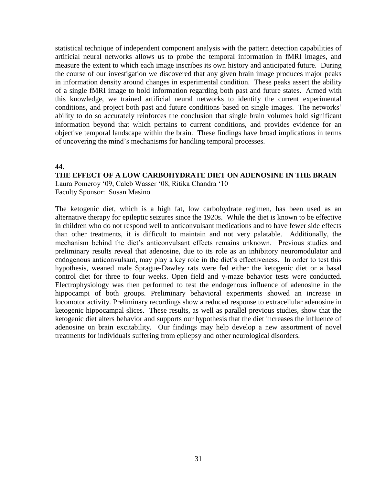statistical technique of independent component analysis with the pattern detection capabilities of artificial neural networks allows us to probe the temporal information in fMRI images, and measure the extent to which each image inscribes its own history and anticipated future. During the course of our investigation we discovered that any given brain image produces major peaks in information density around changes in experimental condition. These peaks assert the ability of a single fMRI image to hold information regarding both past and future states. Armed with this knowledge, we trained artificial neural networks to identify the current experimental conditions, and project both past and future conditions based on single images. The networks' ability to do so accurately reinforces the conclusion that single brain volumes hold significant information beyond that which pertains to current conditions, and provides evidence for an objective temporal landscape within the brain. These findings have broad implications in terms of uncovering the mind's mechanisms for handling temporal processes.

#### **44.**

## **THE EFFECT OF A LOW CARBOHYDRATE DIET ON ADENOSINE IN THE BRAIN**

Laura Pomeroy '09, Caleb Wasser '08, Ritika Chandra '10 Faculty Sponsor: Susan Masino

The ketogenic diet, which is a high fat, low carbohydrate regimen, has been used as an alternative therapy for epileptic seizures since the 1920s. While the diet is known to be effective in children who do not respond well to anticonvulsant medications and to have fewer side effects than other treatments, it is difficult to maintain and not very palatable. Additionally, the mechanism behind the diet's anticonvulsant effects remains unknown. Previous studies and preliminary results reveal that adenosine, due to its role as an inhibitory neuromodulator and endogenous anticonvulsant, may play a key role in the diet's effectiveness. In order to test this hypothesis, weaned male Sprague-Dawley rats were fed either the ketogenic diet or a basal control diet for three to four weeks. Open field and y-maze behavior tests were conducted. Electrophysiology was then performed to test the endogenous influence of adenosine in the hippocampi of both groups. Preliminary behavioral experiments showed an increase in locomotor activity. Preliminary recordings show a reduced response to extracellular adenosine in ketogenic hippocampal slices. These results, as well as parallel previous studies, show that the ketogenic diet alters behavior and supports our hypothesis that the diet increases the influence of adenosine on brain excitability. Our findings may help develop a new assortment of novel treatments for individuals suffering from epilepsy and other neurological disorders.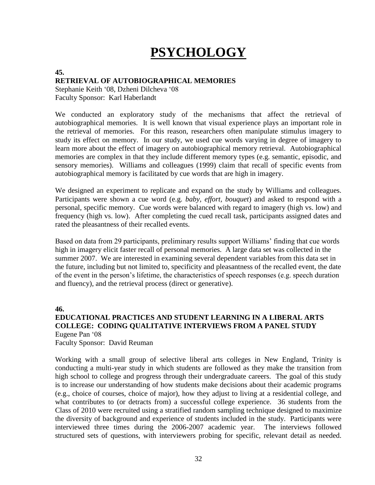# **PSYCHOLOGY**

#### **45.**

## **RETRIEVAL OF AUTOBIOGRAPHICAL MEMORIES**

Stephanie Keith '08, Dzheni Dilcheva '08 Faculty Sponsor: Karl Haberlandt

We conducted an exploratory study of the mechanisms that affect the retrieval of autobiographical memories. It is well known that visual experience plays an important role in the retrieval of memories. For this reason, researchers often manipulate stimulus imagery to study its effect on memory. In our study, we used cue words varying in degree of imagery to learn more about the effect of imagery on autobiographical memory retrieval. Autobiographical memories are complex in that they include different memory types (e.g. semantic, episodic, and sensory memories). Williams and colleagues (1999) claim that recall of specific events from autobiographical memory is facilitated by cue words that are high in imagery.

We designed an experiment to replicate and expand on the study by Williams and colleagues. Participants were shown a cue word (e.g. *baby, effort, bouquet*) and asked to respond with a personal, specific memory. Cue words were balanced with regard to imagery (high vs. low) and frequency (high vs. low). After completing the cued recall task, participants assigned dates and rated the pleasantness of their recalled events.

Based on data from 29 participants, preliminary results support Williams' finding that cue words high in imagery elicit faster recall of personal memories. A large data set was collected in the summer 2007. We are interested in examining several dependent variables from this data set in the future, including but not limited to, specificity and pleasantness of the recalled event, the date of the event in the person's lifetime, the characteristics of speech responses (e.g. speech duration and fluency), and the retrieval process (direct or generative).

**46.**

# **EDUCATIONAL PRACTICES AND STUDENT LEARNING IN A LIBERAL ARTS COLLEGE: CODING QUALITATIVE INTERVIEWS FROM A PANEL STUDY** Eugene Pan '08

Faculty Sponsor: David Reuman

Working with a small group of selective liberal arts colleges in New England, Trinity is conducting a multi-year study in which students are followed as they make the transition from high school to college and progress through their undergraduate careers. The goal of this study is to increase our understanding of how students make decisions about their academic programs (e.g., choice of courses, choice of major), how they adjust to living at a residential college, and what contributes to (or detracts from) a successful college experience. 36 students from the Class of 2010 were recruited using a stratified random sampling technique designed to maximize the diversity of background and experience of students included in the study. Participants were interviewed three times during the 2006-2007 academic year. The interviews followed structured sets of questions, with interviewers probing for specific, relevant detail as needed.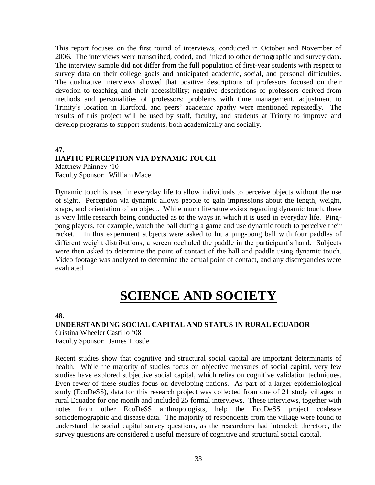This report focuses on the first round of interviews, conducted in October and November of 2006. The interviews were transcribed, coded, and linked to other demographic and survey data. The interview sample did not differ from the full population of first-year students with respect to survey data on their college goals and anticipated academic, social, and personal difficulties. The qualitative interviews showed that positive descriptions of professors focused on their devotion to teaching and their accessibility; negative descriptions of professors derived from methods and personalities of professors; problems with time management, adjustment to Trinity's location in Hartford, and peers' academic apathy were mentioned repeatedly. The results of this project will be used by staff, faculty, and students at Trinity to improve and develop programs to support students, both academically and socially.

# **47. HAPTIC PERCEPTION VIA DYNAMIC TOUCH**

Matthew Phinney '10 Faculty Sponsor: William Mace

Dynamic touch is used in everyday life to allow individuals to perceive objects without the use of sight. Perception via dynamic allows people to gain impressions about the length, weight, shape, and orientation of an object. While much literature exists regarding dynamic touch, there is very little research being conducted as to the ways in which it is used in everyday life. Pingpong players, for example, watch the ball during a game and use dynamic touch to perceive their racket. In this experiment subjects were asked to hit a ping-pong ball with four paddles of different weight distributions; a screen occluded the paddle in the participant's hand. Subjects were then asked to determine the point of contact of the ball and paddle using dynamic touch. Video footage was analyzed to determine the actual point of contact, and any discrepancies were evaluated.

# **SCIENCE AND SOCIETY**

#### **48.**

### **UNDERSTANDING SOCIAL CAPITAL AND STATUS IN RURAL ECUADOR**

Cristina Wheeler Castillo '08 Faculty Sponsor: James Trostle

Recent studies show that cognitive and structural social capital are important determinants of health. While the majority of studies focus on objective measures of social capital, very few studies have explored subjective social capital, which relies on cognitive validation techniques. Even fewer of these studies focus on developing nations. As part of a larger epidemiological study (EcoDeSS), data for this research project was collected from one of 21 study villages in rural Ecuador for one month and included 25 formal interviews. These interviews, together with notes from other EcoDeSS anthropologists, help the EcoDeSS project coalesce sociodemographic and disease data. The majority of respondents from the village were found to understand the social capital survey questions, as the researchers had intended; therefore, the survey questions are considered a useful measure of cognitive and structural social capital.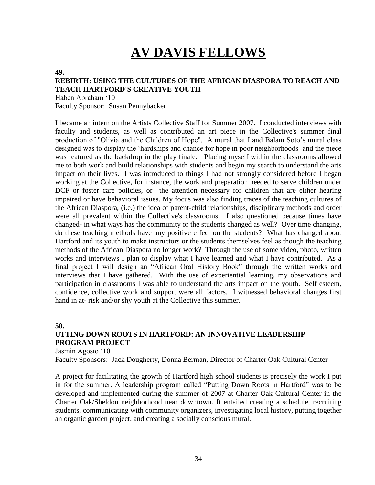# **AV DAVIS FELLOWS**

#### **49.**

# **REBIRTH: USING THE CULTURES OF THE AFRICAN DIASPORA TO REACH AND TEACH HARTFORD'S CREATIVE YOUTH**

Haben Abraham '10 Faculty Sponsor: Susan Pennybacker

I became an intern on the Artists Collective Staff for Summer 2007. I conducted interviews with faculty and students, as well as contributed an art piece in the Collective's summer final production of "Olivia and the Children of Hope". A mural that I and Balam Soto's mural class designed was to display the 'hardships and chance for hope in poor neighborhoods' and the piece was featured as the backdrop in the play finale. Placing myself within the classrooms allowed me to both work and build relationships with students and begin my search to understand the arts impact on their lives. I was introduced to things I had not strongly considered before I began working at the Collective, for instance, the work and preparation needed to serve children under DCF or foster care policies, or the attention necessary for children that are either hearing impaired or have behavioral issues. My focus was also finding traces of the teaching cultures of the African Diaspora, (i.e.) the idea of parent-child relationships, disciplinary methods and order were all prevalent within the Collective's classrooms. I also questioned because times have changed- in what ways has the community or the students changed as well? Over time changing, do these teaching methods have any positive effect on the students? What has changed about Hartford and its youth to make instructors or the students themselves feel as though the teaching methods of the African Diaspora no longer work? Through the use of some video, photo, written works and interviews I plan to display what I have learned and what I have contributed. As a final project I will design an "African Oral History Book" through the written works and interviews that I have gathered. With the use of experiential learning, my observations and participation in classrooms I was able to understand the arts impact on the youth. Self esteem, confidence, collective work and support were all factors. I witnessed behavioral changes first hand in at- risk and/or shy youth at the Collective this summer.

**50.**

# **UTTING DOWN ROOTS IN HARTFORD: AN INNOVATIVE LEADERSHIP PROGRAM PROJECT**

Jasmin Agosto '10

Faculty Sponsors: Jack Dougherty, Donna Berman, Director of Charter Oak Cultural Center

A project for facilitating the growth of Hartford high school students is precisely the work I put in for the summer. A leadership program called "Putting Down Roots in Hartford" was to be developed and implemented during the summer of 2007 at Charter Oak Cultural Center in the Charter Oak/Sheldon neighborhood near downtown. It entailed creating a schedule, recruiting students, communicating with community organizers, investigating local history, putting together an organic garden project, and creating a socially conscious mural.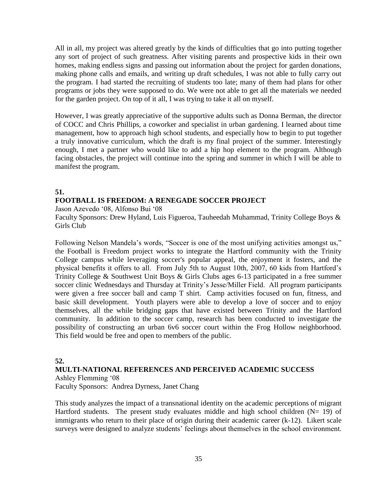All in all, my project was altered greatly by the kinds of difficulties that go into putting together any sort of project of such greatness. After visiting parents and prospective kids in their own homes, making endless signs and passing out information about the project for garden donations, making phone calls and emails, and writing up draft schedules, I was not able to fully carry out the program. I had started the recruiting of students too late; many of them had plans for other programs or jobs they were supposed to do. We were not able to get all the materials we needed for the garden project. On top of it all, I was trying to take it all on myself.

However, I was greatly appreciative of the supportive adults such as Donna Berman, the director of COCC and Chris Phillips, a coworker and specialist in urban gardening. I learned about time management, how to approach high school students, and especially how to begin to put together a truly innovative curriculum, which the draft is my final project of the summer. Interestingly enough, I met a partner who would like to add a hip hop element to the program. Although facing obstacles, the project will continue into the spring and summer in which I will be able to manifest the program.

# **51.**

# **FOOTBALL IS FREEDOM: A RENEGADE SOCCER PROJECT**

Jason Azevedo '08, Alfonso Bui '08

Faculty Sponsors: Drew Hyland, Luis Figueroa, Tauheedah Muhammad, Trinity College Boys & Girls Club

Following Nelson Mandela's words, "Soccer is one of the most unifying activities amongst us," the Football is Freedom project works to integrate the Hartford community with the Trinity College campus while leveraging soccer's popular appeal, the enjoyment it fosters, and the physical benefits it offers to all. From July 5th to August 10th, 2007, 60 kids from Hartford's Trinity College & Southwest Unit Boys & Girls Clubs ages 6-13 participated in a free summer soccer clinic Wednesdays and Thursday at Trinity's Jesse/Miller Field. All program participants were given a free soccer ball and camp T shirt. Camp activities focused on fun, fitness, and basic skill development. Youth players were able to develop a love of soccer and to enjoy themselves, all the while bridging gaps that have existed between Trinity and the Hartford community. In addition to the soccer camp, research has been conducted to investigate the possibility of constructing an urban 6v6 soccer court within the Frog Hollow neighborhood. This field would be free and open to members of the public.

# **52.**

## **MULTI-NATIONAL REFERENCES AND PERCEIVED ACADEMIC SUCCESS**

Ashley Flemming '08 Faculty Sponsors: Andrea Dyrness, Janet Chang

This study analyzes the impact of a transnational identity on the academic perceptions of migrant Hartford students. The present study evaluates middle and high school children  $(N= 19)$  of immigrants who return to their place of origin during their academic career (k-12). Likert scale surveys were designed to analyze students' feelings about themselves in the school environment.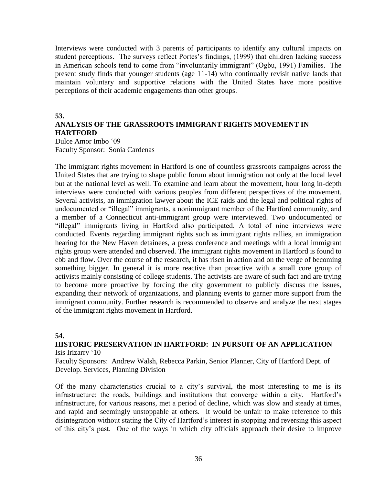Interviews were conducted with 3 parents of participants to identify any cultural impacts on student perceptions. The surveys reflect Portes's findings, (1999) that children lacking success in American schools tend to come from "involuntarily immigrant" (Ogbu, 1991) Families. The present study finds that younger students (age 11-14) who continually revisit native lands that maintain voluntary and supportive relations with the United States have more positive perceptions of their academic engagements than other groups.

### **53.**

# **ANALYSIS OF THE GRASSROOTS IMMIGRANT RIGHTS MOVEMENT IN HARTFORD**

Dulce Amor Imbo '09 Faculty Sponsor: Sonia Cardenas

The immigrant rights movement in Hartford is one of countless grassroots campaigns across the United States that are trying to shape public forum about immigration not only at the local level but at the national level as well. To examine and learn about the movement, hour long in-depth interviews were conducted with various peoples from different perspectives of the movement. Several activists, an immigration lawyer about the ICE raids and the legal and political rights of undocumented or "illegal" immigrants, a nonimmigrant member of the Hartford community, and a member of a Connecticut anti-immigrant group were interviewed. Two undocumented or "illegal" immigrants living in Hartford also participated. A total of nine interviews were conducted. Events regarding immigrant rights such as immigrant rights rallies, an immigration hearing for the New Haven detainees, a press conference and meetings with a local immigrant rights group were attended and observed. The immigrant rights movement in Hartford is found to ebb and flow. Over the course of the research, it has risen in action and on the verge of becoming something bigger. In general it is more reactive than proactive with a small core group of activists mainly consisting of college students. The activists are aware of such fact and are trying to become more proactive by forcing the city government to publicly discuss the issues, expanding their network of organizations, and planning events to garner more support from the immigrant community. Further research is recommended to observe and analyze the next stages of the immigrant rights movement in Hartford.

## **54.**

### **HISTORIC PRESERVATION IN HARTFORD: IN PURSUIT OF AN APPLICATION** Isis Irizarry '10

Faculty Sponsors: Andrew Walsh, Rebecca Parkin, Senior Planner, City of Hartford Dept. of Develop. Services, Planning Division

Of the many characteristics crucial to a city's survival, the most interesting to me is its infrastructure: the roads, buildings and institutions that converge within a city. Hartford's infrastructure, for various reasons, met a period of decline, which was slow and steady at times, and rapid and seemingly unstoppable at others. It would be unfair to make reference to this disintegration without stating the City of Hartford's interest in stopping and reversing this aspect of this city's past. One of the ways in which city officials approach their desire to improve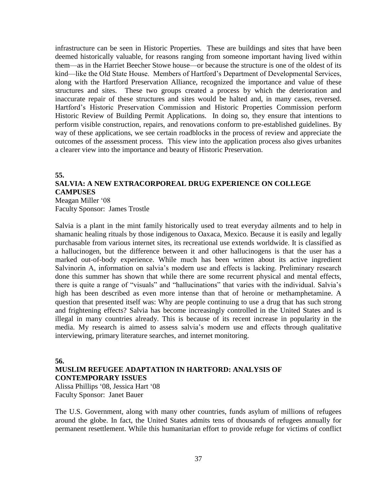infrastructure can be seen in Historic Properties. These are buildings and sites that have been deemed historically valuable, for reasons ranging from someone important having lived within them—as in the Harriet Beecher Stowe house—or because the structure is one of the oldest of its kind—like the Old State House. Members of Hartford's Department of Developmental Services, along with the Hartford Preservation Alliance, recognized the importance and value of these structures and sites. These two groups created a process by which the deterioration and inaccurate repair of these structures and sites would be halted and, in many cases, reversed. Hartford's Historic Preservation Commission and Historic Properties Commission perform Historic Review of Building Permit Applications. In doing so, they ensure that intentions to perform visible construction, repairs, and renovations conform to pre-established guidelines. By way of these applications, we see certain roadblocks in the process of review and appreciate the outcomes of the assessment process. This view into the application process also gives urbanites a clearer view into the importance and beauty of Historic Preservation.

## **55. SALVIA: A NEW EXTRACORPOREAL DRUG EXPERIENCE ON COLLEGE CAMPUSES** Meagan Miller '08

Faculty Sponsor: James Trostle

Salvia is a plant in the mint family historically used to treat everyday ailments and to help in shamanic healing rituals by those indigenous to Oaxaca, Mexico. Because it is easily and legally purchasable from various internet sites, its recreational use extends worldwide. It is classified as a hallucinogen, but the difference between it and other hallucinogens is that the user has a marked out-of-body experience. While much has been written about its active ingredient Salvinorin A, information on salvia's modern use and effects is lacking. Preliminary research done this summer has shown that while there are some recurrent physical and mental effects, there is quite a range of "visuals" and "hallucinations" that varies with the individual. Salvia's high has been described as even more intense than that of heroine or methamphetamine. A question that presented itself was: Why are people continuing to use a drug that has such strong and frightening effects? Salvia has become increasingly controlled in the United States and is illegal in many countries already. This is because of its recent increase in popularity in the media. My research is aimed to assess salvia's modern use and effects through qualitative interviewing, primary literature searches, and internet monitoring.

### **56.**

## **MUSLIM REFUGEE ADAPTATION IN HARTFORD: ANALYSIS OF CONTEMPORARY ISSUES**

Alissa Phillips '08, Jessica Hart '08 Faculty Sponsor: Janet Bauer

The U.S. Government, along with many other countries, funds asylum of millions of refugees around the globe. In fact, the United States admits tens of thousands of refugees annually for permanent resettlement. While this humanitarian effort to provide refuge for victims of conflict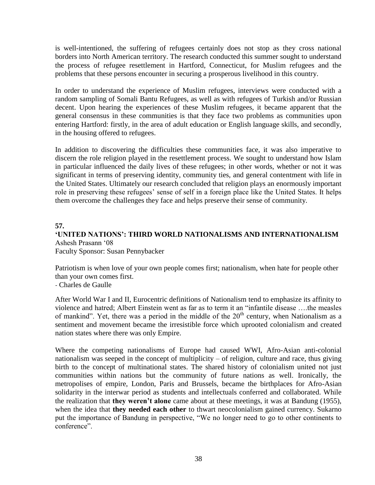is well-intentioned, the suffering of refugees certainly does not stop as they cross national borders into North American territory. The research conducted this summer sought to understand the process of refugee resettlement in Hartford, Connecticut, for Muslim refugees and the problems that these persons encounter in securing a prosperous livelihood in this country.

In order to understand the experience of Muslim refugees, interviews were conducted with a random sampling of Somali Bantu Refugees, as well as with refugees of Turkish and/or Russian decent. Upon hearing the experiences of these Muslim refugees, it became apparent that the general consensus in these communities is that they face two problems as communities upon entering Hartford: firstly, in the area of adult education or English language skills, and secondly, in the housing offered to refugees.

In addition to discovering the difficulties these communities face, it was also imperative to discern the role religion played in the resettlement process. We sought to understand how Islam in particular influenced the daily lives of these refugees; in other words, whether or not it was significant in terms of preserving identity, community ties, and general contentment with life in the United States. Ultimately our research concluded that religion plays an enormously important role in preserving these refugees' sense of self in a foreign place like the United States. It helps them overcome the challenges they face and helps preserve their sense of community.

### **57.**

# **'UNITED NATIONS': THIRD WORLD NATIONALISMS AND INTERNATIONALISM** Ashesh Prasann '08

Faculty Sponsor: Susan Pennybacker

Patriotism is when love of your own people comes first; nationalism, when hate for people other than your own comes first.

- [Charles de Gaulle](http://www.worldofquotes.com/author/Charles-de-Gaulle/1/index.html)

After World War I and II, Eurocentric definitions of Nationalism tend to emphasize its affinity to violence and hatred; Albert Einstein went as far as to term it an "infantile disease ….the measles of mankind". Yet, there was a period in the middle of the  $20<sup>th</sup>$  century, when Nationalism as a sentiment and movement became the irresistible force which uprooted colonialism and created nation states where there was only Empire.

Where the competing nationalisms of Europe had caused WWI, Afro-Asian anti-colonial nationalism was seeped in the concept of multiplicity – of religion, culture and race, thus giving birth to the concept of multinational states. The shared history of colonialism united not just communities within nations but the community of future nations as well. Ironically, the metropolises of empire, London, Paris and Brussels, became the birthplaces for Afro-Asian solidarity in the interwar period as students and intellectuals conferred and collaborated. While the realization that **they weren't alone** came about at these meetings, it was at Bandung (1955), when the idea that **they needed each other** to thwart neocolonialism gained currency. Sukarno put the importance of Bandung in perspective, "We no longer need to go to other continents to conference".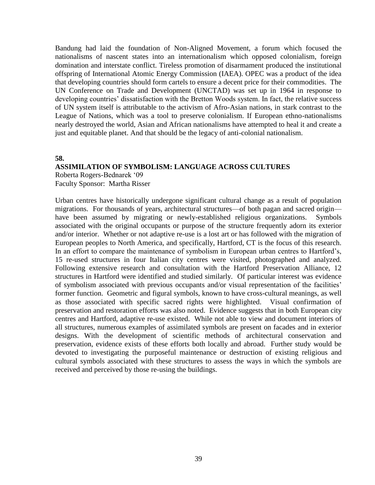Bandung had laid the foundation of Non-Aligned Movement, a forum which focused the nationalisms of nascent states into an internationalism which opposed colonialism, foreign domination and interstate conflict. Tireless promotion of disarmament produced the institutional offspring of International Atomic Energy Commission (IAEA). OPEC was a product of the idea that developing countries should form cartels to ensure a decent price for their commodities. The UN Conference on Trade and Development (UNCTAD) was set up in 1964 in response to developing countries' dissatisfaction with the Bretton Woods system. In fact, the relative success of UN system itself is attributable to the activism of Afro-Asian nations, in stark contrast to the League of Nations, which was a tool to preserve colonialism. If European ethno-nationalisms nearly destroyed the world, Asian and African nationalisms have attempted to heal it and create a just and equitable planet. And that should be the legacy of anti-colonial nationalism.

## **58.**

#### **ASSIMILATION OF SYMBOLISM: LANGUAGE ACROSS CULTURES**

Roberta Rogers-Bednarek '09 Faculty Sponsor: Martha Risser

Urban centres have historically undergone significant cultural change as a result of population migrations. For thousands of years, architectural structures—of both pagan and sacred origin have been assumed by migrating or newly-established religious organizations. Symbols associated with the original occupants or purpose of the structure frequently adorn its exterior and/or interior. Whether or not adaptive re-use is a lost art or has followed with the migration of European peoples to North America, and specifically, Hartford, CT is the focus of this research. In an effort to compare the maintenance of symbolism in European urban centres to Hartford's, 15 re-used structures in four Italian city centres were visited, photographed and analyzed. Following extensive research and consultation with the Hartford Preservation Alliance, 12 structures in Hartford were identified and studied similarly. Of particular interest was evidence of symbolism associated with previous occupants and/or visual representation of the facilities' former function. Geometric and figural symbols, known to have cross-cultural meanings, as well as those associated with specific sacred rights were highlighted. Visual confirmation of preservation and restoration efforts was also noted. Evidence suggests that in both European city centres and Hartford, adaptive re-use existed. While not able to view and document interiors of all structures, numerous examples of assimilated symbols are present on facades and in exterior designs. With the development of scientific methods of architectural conservation and preservation, evidence exists of these efforts both locally and abroad. Further study would be devoted to investigating the purposeful maintenance or destruction of existing religious and cultural symbols associated with these structures to assess the ways in which the symbols are received and perceived by those re-using the buildings.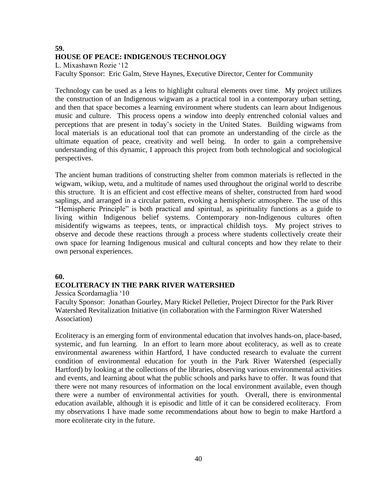# **59. HOUSE OF PEACE: INDIGENOUS TECHNOLOGY**

L. Mixashawn Rozie '12

Faculty Sponsor: Eric Galm, Steve Haynes, Executive Director, Center for Community

Technology can be used as a lens to highlight cultural elements over time. My project utilizes the construction of an Indigenous wigwam as a practical tool in a contemporary urban setting, and then that space becomes a learning environment where students can learn about Indigenous music and culture. This process opens a window into deeply entrenched colonial values and perceptions that are present in today's society in the United States. Building wigwams from local materials is an educational tool that can promote an understanding of the circle as the ultimate equation of peace, creativity and well being. In order to gain a comprehensive understanding of this dynamic, I approach this project from both technological and sociological perspectives.

The ancient human traditions of constructing shelter from common materials is reflected in the wigwam, wikiup, wetu, and a multitude of names used throughout the original world to describe this structure. It is an efficient and cost effective means of shelter, constructed from hard wood saplings, and arranged in a circular pattern, evoking a hemispheric atmosphere. The use of this "Hemispheric Principle" is both practical and spiritual, as spirituality functions as a guide to living within Indigenous belief systems. Contemporary non-Indigenous cultures often misidentify wigwams as teepees, tents, or impractical childish toys. My project strives to observe and decode these reactions through a process where students collectively create their own space for learning Indigenous musical and cultural concepts and how they relate to their own personal experiences.

## **60.**

## **ECOLITERACY IN THE PARK RIVER WATERSHED**

Jessica Scordamaglia '10

Faculty Sponsor: Jonathan Gourley, Mary Rickel Pelletier, Project Director for the Park River Watershed Revitalization Initiative (in collaboration with the Farmington River Watershed Association)

Ecoliteracy is an emerging form of environmental education that involves hands-on, place-based, systemic, and fun learning. In an effort to learn more about ecoliteracy, as well as to create environmental awareness within Hartford, I have conducted research to evaluate the current condition of environmental education for youth in the Park River Watershed (especially Hartford) by looking at the collections of the libraries, observing various environmental activities and events, and learning about what the public schools and parks have to offer. It was found that there were not many resources of information on the local environment available, even though there were a number of environmental activities for youth. Overall, there is environmental education available, although it is episodic and little of it can be considered ecoliteracy. From my observations I have made some recommendations about how to begin to make Hartford a more ecoliterate city in the future.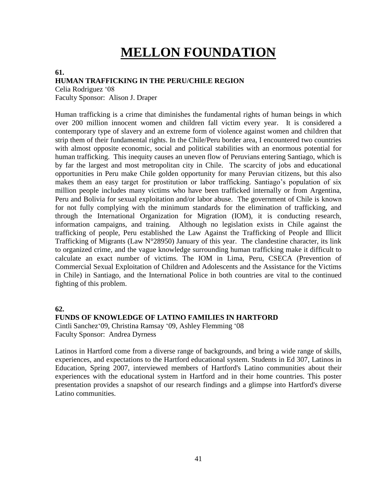# **MELLON FOUNDATION**

#### **61.**

### **HUMAN TRAFFICKING IN THE PERU/CHILE REGION**

Celia Rodriguez '08

Faculty Sponsor: Alison J. Draper

Human trafficking is a crime that diminishes the fundamental rights of human beings in which over 200 million innocent women and children fall victim every year. It is considered a contemporary type of slavery and an extreme form of violence against women and children that strip them of their fundamental rights. In the Chile/Peru border area, I encountered two countries with almost opposite economic, social and political stabilities with an enormous potential for human trafficking. This inequity causes an uneven flow of Peruvians entering Santiago, which is by far the largest and most metropolitan city in Chile. The scarcity of jobs and educational opportunities in Peru make Chile golden opportunity for many Peruvian citizens, but this also makes them an easy target for prostitution or labor trafficking. Santiago's population of six million people includes many victims who have been trafficked internally or from Argentina, Peru and Bolivia for sexual exploitation and/or labor abuse. The government of Chile is known for not fully complying with the minimum standards for the elimination of trafficking, and through the International Organization for Migration (IOM), it is conducting research, information campaigns, and training. Although no legislation exists in Chile against the trafficking of people, Peru established the Law Against the Trafficking of People and Illicit Trafficking of Migrants (Law N°28950) January of this year. The clandestine character, its link to organized crime, and the vague knowledge surrounding human trafficking make it difficult to calculate an exact number of victims. The IOM in Lima, Peru, CSECA (Prevention of Commercial Sexual Exploitation of Children and Adolescents and the Assistance for the Victims in Chile) in Santiago, and the International Police in both countries are vital to the continued fighting of this problem.

#### **62.**

#### **FUNDS OF KNOWLEDGE OF LATINO FAMILIES IN HARTFORD**

Cintli Sanchez'09, Christina Ramsay '09, Ashley Flemming '08 Faculty Sponsor: Andrea Dyrness

Latinos in Hartford come from a diverse range of backgrounds, and bring a wide range of skills, experiences, and expectations to the Hartford educational system. Students in Ed 307, Latinos in Education, Spring 2007, interviewed members of Hartford's Latino communities about their experiences with the educational system in Hartford and in their home countries. This poster presentation provides a snapshot of our research findings and a glimpse into Hartford's diverse Latino communities.